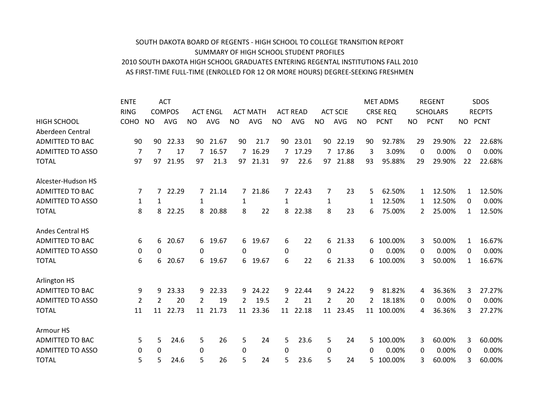## SOUTH DAKOTA BOARD OF REGENTS - HIGH SCHOOL TO COLLEGE TRANSITION REPORT SUMMARY OF HIGH SCHOOL STUDENT PROFILES 2010 SOUTH DAKOTA HIGH SCHOOL GRADUATES ENTERING REGENTAL INSTITUTIONS FALL 2010 AS FIRST-TIME FULL-TIME (ENROLLED FOR 12 OR MORE HOURS) DEGREE-SEEKING FRESHMEN

|                         | <b>ENTE</b>    |           | <b>ACT</b>    |           |                 |                |                 |                |                 |                |                 |           | <b>MET ADMS</b> |          | <b>REGENT</b>   |              | SDOS          |
|-------------------------|----------------|-----------|---------------|-----------|-----------------|----------------|-----------------|----------------|-----------------|----------------|-----------------|-----------|-----------------|----------|-----------------|--------------|---------------|
|                         | <b>RING</b>    |           | <b>COMPOS</b> |           | <b>ACT ENGL</b> |                | <b>ACT MATH</b> |                | <b>ACT READ</b> |                | <b>ACT SCIE</b> |           | <b>CRSE REQ</b> |          | <b>SCHOLARS</b> |              | <b>RECPTS</b> |
| <b>HIGH SCHOOL</b>      | <b>COHO</b>    | <b>NO</b> | <b>AVG</b>    | <b>NO</b> | <b>AVG</b>      | <b>NO</b>      | <b>AVG</b>      | <b>NO</b>      | <b>AVG</b>      | <b>NO</b>      | <b>AVG</b>      | <b>NO</b> | <b>PCNT</b>     | NO       | <b>PCNT</b>     | NO           | <b>PCNT</b>   |
| Aberdeen Central        |                |           |               |           |                 |                |                 |                |                 |                |                 |           |                 |          |                 |              |               |
| <b>ADMITTED TO BAC</b>  | 90             | 90        | 22.33         | 90        | 21.67           | 90             | 21.7            | 90             | 23.01           | 90             | 22.19           | 90        | 92.78%          | 29       | 29.90%          | 22           | 22.68%        |
| <b>ADMITTED TO ASSO</b> | $\overline{7}$ | 7         | 17            | 7         | 16.57           | $\overline{7}$ | 16.29           | $\overline{7}$ | 17.29           |                | 17.86           | 3         | 3.09%           | $\Omega$ | 0.00%           | $\Omega$     | 0.00%         |
| <b>TOTAL</b>            | 97             | 97        | 21.95         | 97        | 21.3            | 97             | 21.31           | 97             | 22.6            | 97             | 21.88           | 93        | 95.88%          | 29       | 29.90%          | 22           | 22.68%        |
| Alcester-Hudson HS      |                |           |               |           |                 |                |                 |                |                 |                |                 |           |                 |          |                 |              |               |
| <b>ADMITTED TO BAC</b>  | 7              | 7         | 22.29         |           | 7 21.14         | 7              | 21.86           |                | 7 22.43         | 7              | 23              | 5         | 62.50%          | 1        | 12.50%          | 1            | 12.50%        |
| <b>ADMITTED TO ASSO</b> | 1              | 1         |               | 1         |                 | 1              |                 | 1              |                 | $\mathbf{1}$   |                 | 1         | 12.50%          | 1        | 12.50%          | 0            | 0.00%         |
| <b>TOTAL</b>            | 8              | 8         | 22.25         | 8         | 20.88           | 8              | 22              | 8              | 22.38           | 8              | 23              | 6         | 75.00%          | 2        | 25.00%          | $\mathbf{1}$ | 12.50%        |
| <b>Andes Central HS</b> |                |           |               |           |                 |                |                 |                |                 |                |                 |           |                 |          |                 |              |               |
| <b>ADMITTED TO BAC</b>  | 6              | 6         | 20.67         |           | 6 19.67         | 6              | 19.67           | 6              | 22              | 6              | 21.33           | 6         | 100.00%         | 3        | 50.00%          | 1            | 16.67%        |
| <b>ADMITTED TO ASSO</b> | 0              | 0         |               | 0         |                 | 0              |                 | 0              |                 | $\Omega$       |                 | 0         | 0.00%           | 0        | 0.00%           | 0            | 0.00%         |
| <b>TOTAL</b>            | 6              | 6         | 20.67         |           | 6 19.67         | 6              | 19.67           | 6              | 22              | 6.             | 21.33           | 6         | 100.00%         | 3        | 50.00%          | $\mathbf{1}$ | 16.67%        |
| Arlington HS            |                |           |               |           |                 |                |                 |                |                 |                |                 |           |                 |          |                 |              |               |
| <b>ADMITTED TO BAC</b>  | 9              | 9         | 23.33         | 9         | 22.33           | 9              | 24.22           | 9              | 22.44           | 9              | 24.22           | 9         | 81.82%          | 4        | 36.36%          | 3            | 27.27%        |
| <b>ADMITTED TO ASSO</b> | 2              | 2         | 20            | 2         | 19              | $\overline{2}$ | 19.5            | 2              | 21              | $\overline{2}$ | 20              | 2         | 18.18%          | 0        | 0.00%           | 0            | 0.00%         |
| <b>TOTAL</b>            | 11             | 11        | 22.73         |           | 11 21.73        | 11             | 23.36           |                | 11 22.18        |                | 11 23.45        | 11        | 100.00%         | 4        | 36.36%          | 3            | 27.27%        |
| Armour HS               |                |           |               |           |                 |                |                 |                |                 |                |                 |           |                 |          |                 |              |               |
| <b>ADMITTED TO BAC</b>  | 5              | 5         | 24.6          | 5         | 26              | 5              | 24              | 5              | 23.6            | 5              | 24              | 5         | 100.00%         | 3        | 60.00%          | 3            | 60.00%        |
| <b>ADMITTED TO ASSO</b> | 0              | 0         |               | 0         |                 | $\Omega$       |                 | $\Omega$       |                 | 0              |                 | 0         | 0.00%           | 0        | 0.00%           | 0            | 0.00%         |
| <b>TOTAL</b>            | 5              | 5         | 24.6          | 5         | 26              | 5              | 24              | 5              | 23.6            | 5              | 24              | 5         | 100.00%         | 3        | 60.00%          | 3            | 60.00%        |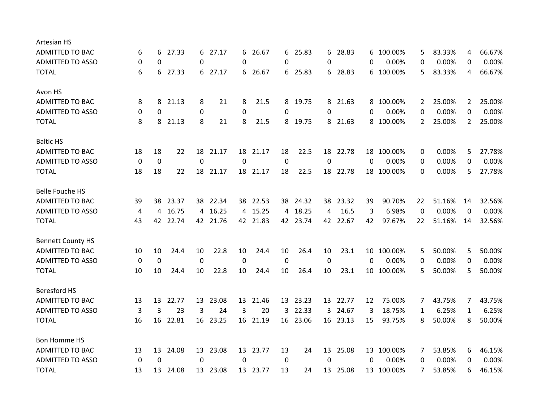| Artesian HS              |          |    |          |                  |          |    |          |    |          |             |          |          |            |                |        |                       |        |
|--------------------------|----------|----|----------|------------------|----------|----|----------|----|----------|-------------|----------|----------|------------|----------------|--------|-----------------------|--------|
| <b>ADMITTED TO BAC</b>   | 6        | 6  | 27.33    | 6                | 27.17    | 6  | 26.67    | 6  | 25.83    | 6           | 28.83    | 6        | 100.00%    | 5              | 83.33% | 4                     | 66.67% |
| <b>ADMITTED TO ASSO</b>  | $\Omega$ | 0  |          | 0                |          | 0  |          | 0  |          | $\Omega$    |          | 0        | 0.00%      | 0              | 0.00%  | 0                     | 0.00%  |
| <b>TOTAL</b>             | 6        | 6  | 27.33    |                  | 6 27.17  |    | 6 26.67  |    | 6 25.83  |             | 6 28.83  |          | 6 100.00%  | 5              | 83.33% | 4                     | 66.67% |
| Avon HS                  |          |    |          |                  |          |    |          |    |          |             |          |          |            |                |        |                       |        |
| ADMITTED TO BAC          | 8        | 8  | 21.13    | 8                | 21       | 8  | 21.5     | 8  | 19.75    | 8           | 21.63    |          | 8 100.00%  | 2              | 25.00% | $\mathbf{2}^{\prime}$ | 25.00% |
| <b>ADMITTED TO ASSO</b>  | 0        | 0  |          | $\pmb{0}$        |          | 0  |          | 0  |          | 0           |          | 0        | 0.00%      | 0              | 0.00%  | 0                     | 0.00%  |
| <b>TOTAL</b>             | 8        | 8  | 21.13    | 8                | 21       | 8  | 21.5     | 8  | 19.75    |             | 8 21.63  |          | 8 100.00%  | $\overline{2}$ | 25.00% | $\overline{2}$        | 25.00% |
| <b>Baltic HS</b>         |          |    |          |                  |          |    |          |    |          |             |          |          |            |                |        |                       |        |
| ADMITTED TO BAC          | 18       | 18 | 22       | 18               | 21.17    | 18 | 21.17    | 18 | 22.5     | 18          | 22.78    | 18       | 100.00%    | 0              | 0.00%  | 5                     | 27.78% |
| <b>ADMITTED TO ASSO</b>  | 0        | 0  |          | $\mathbf 0$      |          | 0  |          | 0  |          | 0           |          | 0        | 0.00%      | 0              | 0.00%  | 0                     | 0.00%  |
| <b>TOTAL</b>             | 18       | 18 | 22       |                  | 18 21.17 |    | 18 21.17 | 18 | 22.5     |             | 18 22.78 |          | 18 100.00% | 0              | 0.00%  | 5                     | 27.78% |
| <b>Belle Fouche HS</b>   |          |    |          |                  |          |    |          |    |          |             |          |          |            |                |        |                       |        |
| <b>ADMITTED TO BAC</b>   | 39       | 38 | 23.37    | 38               | 22.34    | 38 | 22.53    |    | 38 24.32 | 38          | 23.32    | 39       | 90.70%     | 22             | 51.16% | 14                    | 32.56% |
| <b>ADMITTED TO ASSO</b>  | 4        | 4  | 16.75    |                  | 4 16.25  |    | 4 15.25  | 4  | 18.25    | 4           | 16.5     | 3        | 6.98%      | 0              | 0.00%  | 0                     | 0.00%  |
| <b>TOTAL</b>             | 43       |    | 42 22.74 |                  | 42 21.76 |    | 42 21.83 |    | 42 23.74 |             | 42 22.67 | 42       | 97.67%     | 22             | 51.16% | 14                    | 32.56% |
| <b>Bennett County HS</b> |          |    |          |                  |          |    |          |    |          |             |          |          |            |                |        |                       |        |
| ADMITTED TO BAC          | 10       | 10 | 24.4     | 10               | 22.8     | 10 | 24.4     | 10 | 26.4     | 10          | 23.1     | 10       | 100.00%    | 5              | 50.00% | 5                     | 50.00% |
| <b>ADMITTED TO ASSO</b>  | 0        | 0  |          | 0                |          | 0  |          | 0  |          | $\mathbf 0$ |          | $\Omega$ | 0.00%      | 0              | 0.00%  | 0                     | 0.00%  |
| <b>TOTAL</b>             | 10       | 10 | 24.4     | 10               | 22.8     | 10 | 24.4     | 10 | 26.4     | 10          | 23.1     |          | 10 100.00% | 5              | 50.00% | 5                     | 50.00% |
| <b>Beresford HS</b>      |          |    |          |                  |          |    |          |    |          |             |          |          |            |                |        |                       |        |
| <b>ADMITTED TO BAC</b>   | 13       | 13 | 22.77    | 13               | 23.08    | 13 | 21.46    |    | 13 23.23 | 13          | 22.77    | 12       | 75.00%     | 7              | 43.75% | 7                     | 43.75% |
| <b>ADMITTED TO ASSO</b>  | 3        | 3  | 23       | 3                | 24       | 3  | 20       | 3  | 22.33    | 3           | 24.67    | 3        | 18.75%     | 1              | 6.25%  | $\mathbf{1}$          | 6.25%  |
| <b>TOTAL</b>             | 16       | 16 | 22.81    | 16               | 23.25    | 16 | 21.19    | 16 | 23.06    |             | 16 23.13 | 15       | 93.75%     | 8              | 50.00% | 8                     | 50.00% |
| <b>Bon Homme HS</b>      |          |    |          |                  |          |    |          |    |          |             |          |          |            |                |        |                       |        |
| ADMITTED TO BAC          | 13       | 13 | 24.08    | 13               | 23.08    |    | 13 23.77 | 13 | 24       | 13          | 25.08    |          | 13 100.00% | 7              | 53.85% | 6                     | 46.15% |
| <b>ADMITTED TO ASSO</b>  | 0        | 0  |          | $\boldsymbol{0}$ |          | 0  |          | 0  |          | $\mathbf 0$ |          | 0        | 0.00%      | 0              | 0.00%  | 0                     | 0.00%  |
| <b>TOTAL</b>             | 13       | 13 | 24.08    |                  | 13 23.08 |    | 13 23.77 | 13 | 24       |             | 13 25.08 |          | 13 100.00% | 7              | 53.85% | 6                     | 46.15% |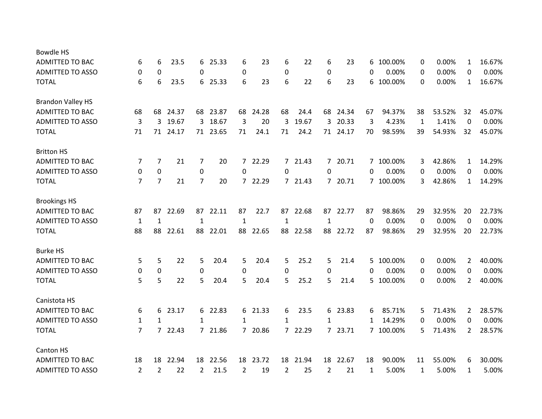| <b>Bowdle HS</b>         |                |                |         |                |          |                |          |             |         |                  |          |          |           |    |        |                |        |
|--------------------------|----------------|----------------|---------|----------------|----------|----------------|----------|-------------|---------|------------------|----------|----------|-----------|----|--------|----------------|--------|
| <b>ADMITTED TO BAC</b>   | 6              | 6              | 23.5    | 6              | 25.33    | 6              | 23       | 6           | 22      | 6                | 23       | 6        | 100.00%   | 0  | 0.00%  | $\mathbf{1}$   | 16.67% |
| <b>ADMITTED TO ASSO</b>  | 0              | 0              |         | 0              |          | 0              |          | $\mathbf 0$ |         | 0                |          | 0        | 0.00%     | 0  | 0.00%  | 0              | 0.00%  |
| <b>TOTAL</b>             | 6              | 6              | 23.5    | 6              | 25.33    | 6              | 23       | 6           | 22      | 6                | 23       | 6        | 100.00%   | 0  | 0.00%  | $\mathbf{1}$   | 16.67% |
| <b>Brandon Valley HS</b> |                |                |         |                |          |                |          |             |         |                  |          |          |           |    |        |                |        |
| <b>ADMITTED TO BAC</b>   | 68             | 68             | 24.37   |                | 68 23.87 | 68             | 24.28    | 68          | 24.4    |                  | 68 24.34 | 67       | 94.37%    | 38 | 53.52% | 32             | 45.07% |
| <b>ADMITTED TO ASSO</b>  | 3              | 3              | 19.67   | 3              | 18.67    | 3              | 20       | 3           | 19.67   | 3                | 20.33    | 3        | 4.23%     | 1  | 1.41%  | 0              | 0.00%  |
| <b>TOTAL</b>             | 71             | 71             | 24.17   |                | 71 23.65 | 71             | 24.1     | 71          | 24.2    |                  | 71 24.17 | 70       | 98.59%    | 39 | 54.93% | 32             | 45.07% |
| <b>Britton HS</b>        |                |                |         |                |          |                |          |             |         |                  |          |          |           |    |        |                |        |
| <b>ADMITTED TO BAC</b>   | 7              | 7              | 21      | $\overline{7}$ | 20       | $\overline{7}$ | 22.29    |             | 7 21.43 |                  | 7 20.71  |          | 7 100.00% | 3  | 42.86% | $\mathbf{1}$   | 14.29% |
| <b>ADMITTED TO ASSO</b>  | 0              | $\pmb{0}$      |         | $\pmb{0}$      |          | 0              |          | 0           |         | $\boldsymbol{0}$ |          | 0        | 0.00%     | 0  | 0.00%  | 0              | 0.00%  |
| <b>TOTAL</b>             | $\overline{7}$ | $\overline{7}$ | 21      | $\overline{7}$ | 20       | $\overline{7}$ | 22.29    |             | 7 21.43 |                  | 7 20.71  |          | 7 100.00% | 3  | 42.86% | $\mathbf{1}$   | 14.29% |
| <b>Brookings HS</b>      |                |                |         |                |          |                |          |             |         |                  |          |          |           |    |        |                |        |
| ADMITTED TO BAC          | 87             | 87             | 22.69   | 87             | 22.11    | 87             | 22.7     | 87          | 22.68   | 87               | 22.77    | 87       | 98.86%    | 29 | 32.95% | 20             | 22.73% |
| <b>ADMITTED TO ASSO</b>  | $\mathbf{1}$   | $\mathbf{1}$   |         | $\mathbf{1}$   |          | $\mathbf{1}$   |          | 1           |         | $\mathbf{1}$     |          | $\Omega$ | 0.00%     | 0  | 0.00%  | 0              | 0.00%  |
| <b>TOTAL</b>             | 88             | 88             | 22.61   | 88             | 22.01    | 88             | 22.65    | 88          | 22.58   | 88               | 22.72    | 87       | 98.86%    | 29 | 32.95% | 20             | 22.73% |
| <b>Burke HS</b>          |                |                |         |                |          |                |          |             |         |                  |          |          |           |    |        |                |        |
| <b>ADMITTED TO BAC</b>   | 5              | 5              | 22      | 5              | 20.4     | 5              | 20.4     | 5           | 25.2    | 5                | 21.4     | 5        | 100.00%   | 0  | 0.00%  | $\overline{2}$ | 40.00% |
| <b>ADMITTED TO ASSO</b>  | 0              | $\mathbf 0$    |         | 0              |          | $\mathbf 0$    |          | 0           |         | 0                |          | 0        | 0.00%     | 0  | 0.00%  | 0              | 0.00%  |
| <b>TOTAL</b>             | 5              | 5              | 22      | 5              | 20.4     | 5              | 20.4     | 5           | 25.2    | 5                | 21.4     | 5.       | 100.00%   | 0  | 0.00%  | $\overline{2}$ | 40.00% |
| Canistota HS             |                |                |         |                |          |                |          |             |         |                  |          |          |           |    |        |                |        |
| <b>ADMITTED TO BAC</b>   | 6              | 6              | 23.17   | 6              | 22.83    | 6              | 21.33    | 6           | 23.5    |                  | 6 23.83  | 6        | 85.71%    | 5  | 71.43% | 2              | 28.57% |
| <b>ADMITTED TO ASSO</b>  | 1              | 1              |         | 1              |          | 1              |          | 1           |         | 1                |          | 1        | 14.29%    | 0  | 0.00%  | 0              | 0.00%  |
| <b>TOTAL</b>             | $\overline{7}$ |                | 7 22.43 |                | 7 21.86  |                | 7 20.86  |             | 7 22.29 |                  | 7 23.71  |          | 7 100.00% | 5  | 71.43% | $\overline{2}$ | 28.57% |
| Canton HS                |                |                |         |                |          |                |          |             |         |                  |          |          |           |    |        |                |        |
| <b>ADMITTED TO BAC</b>   | 18             | 18             | 22.94   |                | 18 22.56 |                | 18 23.72 | 18          | 21.94   | 18               | 22.67    | 18       | 90.00%    | 11 | 55.00% | 6              | 30.00% |
| <b>ADMITTED TO ASSO</b>  | $\overline{2}$ | 2              | 22      | 2              | 21.5     | 2              | 19       | 2           | 25      | 2                | 21       | 1        | 5.00%     | 1  | 5.00%  | 1              | 5.00%  |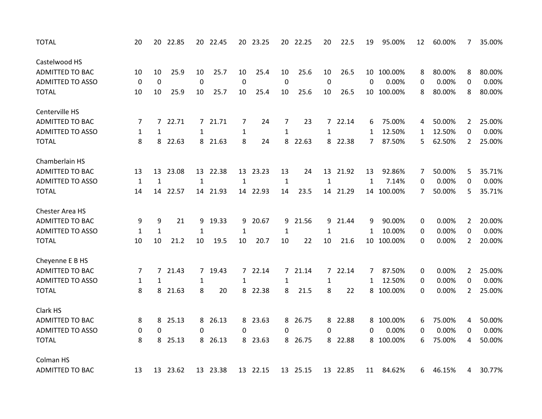| <b>TOTAL</b>            | 20           | 20             | 22.85 |              | 20 22.45 |                | 20 23.25 | 20           | 22.25    | 20           | 22.5     | 19 | 95.00%     | 12 | 60.00% | 7              | 35.00% |
|-------------------------|--------------|----------------|-------|--------------|----------|----------------|----------|--------------|----------|--------------|----------|----|------------|----|--------|----------------|--------|
| Castelwood HS           |              |                |       |              |          |                |          |              |          |              |          |    |            |    |        |                |        |
| <b>ADMITTED TO BAC</b>  | 10           | 10             | 25.9  | 10           | 25.7     | 10             | 25.4     | 10           | 25.6     | 10           | 26.5     |    | 10 100.00% | 8  | 80.00% | 8              | 80.00% |
| <b>ADMITTED TO ASSO</b> | $\mathbf 0$  | $\mathbf 0$    |       | $\pmb{0}$    |          | $\mathbf 0$    |          | $\mathbf 0$  |          | $\pmb{0}$    |          | 0  | 0.00%      | 0  | 0.00%  | 0              | 0.00%  |
| <b>TOTAL</b>            | 10           | 10             | 25.9  | 10           | 25.7     | 10             | 25.4     | 10           | 25.6     | 10           | 26.5     | 10 | 100.00%    | 8  | 80.00% | 8              | 80.00% |
| Centerville HS          |              |                |       |              |          |                |          |              |          |              |          |    |            |    |        |                |        |
| <b>ADMITTED TO BAC</b>  | 7            | 7              | 22.71 |              | 7 21.71  | 7              | 24       | 7            | 23       | $7^{\circ}$  | 22.14    | 6  | 75.00%     | 4  | 50.00% | $\overline{2}$ | 25.00% |
| <b>ADMITTED TO ASSO</b> | 1            | $\mathbf{1}$   |       | 1            |          | 1              |          | $\mathbf{1}$ |          | 1            |          | 1  | 12.50%     | 1  | 12.50% | 0              | 0.00%  |
| <b>TOTAL</b>            | 8            | 8              | 22.63 |              | 8 21.63  | 8              | 24       |              | 8 22.63  |              | 8 22.38  | 7  | 87.50%     | 5  | 62.50% | $\overline{2}$ | 25.00% |
| Chamberlain HS          |              |                |       |              |          |                |          |              |          |              |          |    |            |    |        |                |        |
| <b>ADMITTED TO BAC</b>  | 13           | 13             | 23.08 |              | 13 22.38 | 13             | 23.23    | 13           | 24       | 13           | 21.92    | 13 | 92.86%     | 7  | 50.00% | 5              | 35.71% |
| <b>ADMITTED TO ASSO</b> | $\mathbf{1}$ | $\mathbf{1}$   |       | $\mathbf{1}$ |          | $\mathbf 1$    |          | $\mathbf{1}$ |          | $\mathbf{1}$ |          | 1  | 7.14%      | 0  | 0.00%  | 0              | 0.00%  |
| <b>TOTAL</b>            | 14           | 14             | 22.57 | 14           | 21.93    | 14             | 22.93    | 14           | 23.5     | 14           | 21.29    |    | 14 100.00% | 7  | 50.00% | 5              | 35.71% |
| Chester Area HS         |              |                |       |              |          |                |          |              |          |              |          |    |            |    |        |                |        |
| ADMITTED TO BAC         | 9            | 9              | 21    | 9            | 19.33    | 9              | 20.67    | 9            | 21.56    | 9            | 21.44    | 9  | 90.00%     | 0  | 0.00%  | $\overline{2}$ | 20.00% |
| <b>ADMITTED TO ASSO</b> | $\mathbf{1}$ | $\mathbf{1}$   |       | $\mathbf{1}$ |          | $\mathbf{1}$   |          | $\mathbf{1}$ |          | $\mathbf{1}$ |          | 1  | 10.00%     | 0  | 0.00%  | 0              | 0.00%  |
| <b>TOTAL</b>            | 10           | 10             | 21.2  | 10           | 19.5     | 10             | 20.7     | 10           | 22       | 10           | 21.6     | 10 | 100.00%    | 0  | 0.00%  | $\overline{2}$ | 20.00% |
| Cheyenne E B HS         |              |                |       |              |          |                |          |              |          |              |          |    |            |    |        |                |        |
| <b>ADMITTED TO BAC</b>  | 7            | $\overline{7}$ | 21.43 |              | 7 19.43  | $\overline{7}$ | 22.14    |              | 7 21.14  |              | 7 22.14  | 7  | 87.50%     | 0  | 0.00%  | 2              | 25.00% |
| <b>ADMITTED TO ASSO</b> | $\mathbf{1}$ | $\mathbf{1}$   |       | 1            |          | $\mathbf{1}$   |          | 1            |          | $\mathbf{1}$ |          | 1  | 12.50%     | 0  | 0.00%  | 0              | 0.00%  |
| <b>TOTAL</b>            | 8            | 8              | 21.63 | 8            | 20       | 8              | 22.38    | 8            | 21.5     | 8            | 22       | 8  | 100.00%    | 0  | 0.00%  | $\overline{2}$ | 25.00% |
| Clark HS                |              |                |       |              |          |                |          |              |          |              |          |    |            |    |        |                |        |
| <b>ADMITTED TO BAC</b>  | 8            | 8              | 25.13 | 8            | 26.13    | 8              | 23.63    | 8            | 26.75    | 8            | 22.88    | 8  | 100.00%    | 6  | 75.00% | 4              | 50.00% |
| <b>ADMITTED TO ASSO</b> | 0            | $\mathbf 0$    |       | 0            |          | 0              |          | 0            |          | 0            |          | 0  | 0.00%      | 0  | 0.00%  | 0              | 0.00%  |
| <b>TOTAL</b>            | 8            | 8              | 25.13 | 8            | 26.13    | 8              | 23.63    | 8            | 26.75    | 8            | 22.88    | 8  | 100.00%    | 6  | 75.00% | 4              | 50.00% |
| Colman HS               |              |                |       |              |          |                |          |              |          |              |          |    |            |    |        |                |        |
| <b>ADMITTED TO BAC</b>  | 13           | 13             | 23.62 |              | 13 23.38 |                | 13 22.15 |              | 13 25.15 |              | 13 22.85 | 11 | 84.62%     | 6  | 46.15% | 4              | 30.77% |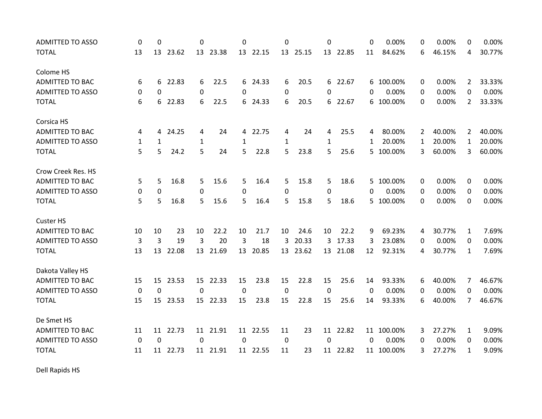| <b>ADMITTED TO ASSO</b> | 0           | 0            |          | 0            |          | 0            |          | 0              |          | $\Omega$     |          | 0        | 0.00%      | 0           | 0.00%  | 0              | 0.00%  |
|-------------------------|-------------|--------------|----------|--------------|----------|--------------|----------|----------------|----------|--------------|----------|----------|------------|-------------|--------|----------------|--------|
| <b>TOTAL</b>            | 13          | 13           | 23.62    |              | 13 23.38 |              | 13 22.15 |                | 13 25.15 |              | 13 22.85 | 11       | 84.62%     | 6           | 46.15% | 4              | 30.77% |
| Colome HS               |             |              |          |              |          |              |          |                |          |              |          |          |            |             |        |                |        |
| <b>ADMITTED TO BAC</b>  | 6           | 6            | 22.83    | 6            | 22.5     | 6            | 24.33    | 6              | 20.5     |              | 6 22.67  |          | 6 100.00%  | 0           | 0.00%  | 2              | 33.33% |
| <b>ADMITTED TO ASSO</b> | 0           | $\Omega$     |          | $\mathbf 0$  |          | $\Omega$     |          | 0              |          | $\Omega$     |          | 0        | 0.00%      | 0           | 0.00%  | 0              | 0.00%  |
| <b>TOTAL</b>            | 6           | 6            | 22.83    | 6            | 22.5     | 6            | 24.33    | 6              | 20.5     |              | 6 22.67  | 6        | 100.00%    | $\Omega$    | 0.00%  | $\overline{2}$ | 33.33% |
| Corsica HS              |             |              |          |              |          |              |          |                |          |              |          |          |            |             |        |                |        |
| <b>ADMITTED TO BAC</b>  | 4           | 4            | 24.25    | 4            | 24       | 4            | 22.75    | 4              | 24       | 4            | 25.5     | 4        | 80.00%     | 2           | 40.00% | $\overline{2}$ | 40.00% |
| <b>ADMITTED TO ASSO</b> | 1           | $\mathbf{1}$ |          | $\mathbf{1}$ |          | $\mathbf{1}$ |          | 1              |          | $\mathbf{1}$ |          | 1        | 20.00%     | $\mathbf 1$ | 20.00% | $\mathbf{1}$   | 20.00% |
| <b>TOTAL</b>            | 5           | 5            | 24.2     | 5            | 24       | 5            | 22.8     | 5              | 23.8     | 5            | 25.6     |          | 5 100.00%  | 3           | 60.00% | 3              | 60.00% |
| Crow Creek Res. HS      |             |              |          |              |          |              |          |                |          |              |          |          |            |             |        |                |        |
| <b>ADMITTED TO BAC</b>  | 5           | 5            | 16.8     | 5            | 15.6     | 5            | 16.4     | 5.             | 15.8     | 5            | 18.6     | 5.       | 100.00%    | 0           | 0.00%  | 0              | 0.00%  |
| <b>ADMITTED TO ASSO</b> | 0           | $\mathbf 0$  |          | $\mathbf 0$  |          | 0            |          | 0              |          | $\Omega$     |          | $\Omega$ | 0.00%      | 0           | 0.00%  | 0              | 0.00%  |
| <b>TOTAL</b>            | 5           | 5            | 16.8     | 5            | 15.6     | 5            | 16.4     | 5              | 15.8     | 5            | 18.6     | 5.       | 100.00%    | 0           | 0.00%  | 0              | 0.00%  |
| <b>Custer HS</b>        |             |              |          |              |          |              |          |                |          |              |          |          |            |             |        |                |        |
| <b>ADMITTED TO BAC</b>  | 10          | 10           | 23       | 10           | 22.2     | 10           | 21.7     | 10             | 24.6     | 10           | 22.2     | 9        | 69.23%     | 4           | 30.77% | $\mathbf{1}$   | 7.69%  |
| <b>ADMITTED TO ASSO</b> | 3           | 3            | 19       | 3            | 20       | 3            | 18       | 3              | 20.33    | 3            | 17.33    | 3        | 23.08%     | 0           | 0.00%  | 0              | 0.00%  |
| <b>TOTAL</b>            | 13          |              | 13 22.08 |              | 13 21.69 |              | 13 20.85 |                | 13 23.62 |              | 13 21.08 | 12       | 92.31%     | 4           | 30.77% | $\mathbf{1}$   | 7.69%  |
| Dakota Valley HS        |             |              |          |              |          |              |          |                |          |              |          |          |            |             |        |                |        |
| <b>ADMITTED TO BAC</b>  | 15          | 15           | 23.53    |              | 15 22.33 | 15           | 23.8     | 15             | 22.8     | 15           | 25.6     | 14       | 93.33%     | 6           | 40.00% | 7              | 46.67% |
| <b>ADMITTED TO ASSO</b> | $\mathbf 0$ | $\mathbf 0$  |          | $\mathbf 0$  |          | $\Omega$     |          | $\overline{0}$ |          | $\mathbf 0$  |          | $\Omega$ | 0.00%      | 0           | 0.00%  | 0              | 0.00%  |
| <b>TOTAL</b>            | 15          | 15           | 23.53    |              | 15 22.33 | 15           | 23.8     | 15             | 22.8     | 15           | 25.6     | 14       | 93.33%     | 6           | 40.00% | 7              | 46.67% |
| De Smet HS              |             |              |          |              |          |              |          |                |          |              |          |          |            |             |        |                |        |
| <b>ADMITTED TO BAC</b>  | 11          | 11           | 22.73    |              | 11 21.91 | 11           | 22.55    | 11             | 23       | 11           | 22.82    | 11       | 100.00%    | 3           | 27.27% | $\mathbf{1}$   | 9.09%  |
| <b>ADMITTED TO ASSO</b> | $\mathbf 0$ | 0            |          | $\mathbf 0$  |          | 0            |          | $\mathbf 0$    |          | 0            |          | 0        | 0.00%      | 0           | 0.00%  | 0              | 0.00%  |
| <b>TOTAL</b>            | 11          |              | 11 22.73 |              | 11 21.91 |              | 11 22.55 | 11             | 23       |              | 11 22.82 |          | 11 100.00% | 3           | 27.27% | $\mathbf{1}$   | 9.09%  |

Dell Rapids HS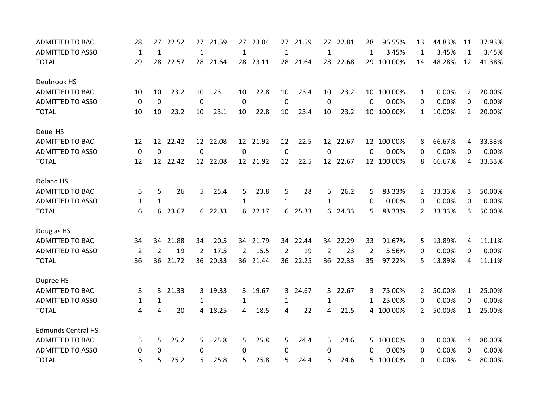| <b>ADMITTED TO BAC</b>    | 28             | 27              | 22.52 | 27               | 21.59    | 27             | 23.04    | 27           | 21.59    | 27           | 22.81    | 28 | 96.55%     | 13             | 44.83% | 11             | 37.93% |
|---------------------------|----------------|-----------------|-------|------------------|----------|----------------|----------|--------------|----------|--------------|----------|----|------------|----------------|--------|----------------|--------|
| <b>ADMITTED TO ASSO</b>   | $\mathbf{1}$   | $\mathbf{1}$    |       | $\mathbf{1}$     |          | $\mathbf{1}$   |          | 1            |          | $\mathbf{1}$ |          | 1  | 3.45%      | 1              | 3.45%  | 1              | 3.45%  |
| <b>TOTAL</b>              | 29             | 28              | 22.57 | 28               | 21.64    |                | 28 23.11 |              | 28 21.64 |              | 28 22.68 | 29 | 100.00%    | 14             | 48.28% | 12             | 41.38% |
| Deubrook HS               |                |                 |       |                  |          |                |          |              |          |              |          |    |            |                |        |                |        |
| <b>ADMITTED TO BAC</b>    | 10             | 10              | 23.2  | 10               | 23.1     | 10             | 22.8     | 10           | 23.4     | 10           | 23.2     |    | 10 100.00% | 1              | 10.00% | 2              | 20.00% |
| <b>ADMITTED TO ASSO</b>   | 0              | $\mathbf 0$     |       | $\mathbf 0$      |          | $\mathbf 0$    |          | 0            |          | $\mathbf 0$  |          | 0  | 0.00%      | 0              | 0.00%  | 0              | 0.00%  |
| <b>TOTAL</b>              | 10             | 10              | 23.2  | 10               | 23.1     | 10             | 22.8     | 10           | 23.4     | 10           | 23.2     |    | 10 100.00% | $\mathbf{1}$   | 10.00% | $\overline{2}$ | 20.00% |
| Deuel HS                  |                |                 |       |                  |          |                |          |              |          |              |          |    |            |                |        |                |        |
| <b>ADMITTED TO BAC</b>    | 12             | 12 <sup>2</sup> | 22.42 |                  | 12 22.08 |                | 12 21.92 | 12           | 22.5     |              | 12 22.67 |    | 12 100.00% | 8              | 66.67% | 4              | 33.33% |
| <b>ADMITTED TO ASSO</b>   | $\mathbf 0$    | $\mathbf 0$     |       | $\boldsymbol{0}$ |          | 0              |          | 0            |          | 0            |          | 0  | 0.00%      | 0              | 0.00%  | 0              | 0.00%  |
| <b>TOTAL</b>              | 12             | 12              | 22.42 |                  | 12 22.08 |                | 12 21.92 | 12           | 22.5     |              | 12 22.67 |    | 12 100.00% | 8              | 66.67% | 4              | 33.33% |
| Doland HS                 |                |                 |       |                  |          |                |          |              |          |              |          |    |            |                |        |                |        |
| <b>ADMITTED TO BAC</b>    | 5              | 5               | 26    | 5                | 25.4     | 5              | 23.8     | 5            | 28       | 5            | 26.2     | 5  | 83.33%     | 2              | 33.33% | 3              | 50.00% |
| <b>ADMITTED TO ASSO</b>   | 1              | $\mathbf{1}$    |       | 1                |          | $\mathbf{1}$   |          | $\mathbf{1}$ |          | 1            |          | 0  | 0.00%      | 0              | 0.00%  | 0              | 0.00%  |
| <b>TOTAL</b>              | 6              | 6               | 23.67 | 6                | 22.33    | 6              | 22.17    | 6            | 25.33    | 6            | 24.33    | 5  | 83.33%     | $\overline{2}$ | 33.33% | 3              | 50.00% |
| Douglas HS                |                |                 |       |                  |          |                |          |              |          |              |          |    |            |                |        |                |        |
| <b>ADMITTED TO BAC</b>    | 34             | 34              | 21.88 | 34               | 20.5     |                | 34 21.79 |              | 34 22.44 |              | 34 22.29 | 33 | 91.67%     | 5              | 13.89% | 4              | 11.11% |
| <b>ADMITTED TO ASSO</b>   | $\overline{2}$ | $\overline{2}$  | 19    | $\overline{2}$   | 17.5     | $\overline{2}$ | 15.5     | 2            | 19       | 2            | 23       | 2  | 5.56%      | 0              | 0.00%  | $\Omega$       | 0.00%  |
| <b>TOTAL</b>              | 36             | 36              | 21.72 | 36               | 20.33    |                | 36 21.44 | 36           | 22.25    | 36           | 22.33    | 35 | 97.22%     | 5              | 13.89% | 4              | 11.11% |
| Dupree HS                 |                |                 |       |                  |          |                |          |              |          |              |          |    |            |                |        |                |        |
| <b>ADMITTED TO BAC</b>    | 3              | 3               | 21.33 | 3 <sup>1</sup>   | 19.33    | 3.             | 19.67    | 3.           | 24.67    | 3            | 22.67    | 3  | 75.00%     | 2              | 50.00% | 1              | 25.00% |
| <b>ADMITTED TO ASSO</b>   | 1              | $\mathbf{1}$    |       | 1                |          | 1              |          | 1            |          | 1            |          | 1  | 25.00%     | 0              | 0.00%  | $\Omega$       | 0.00%  |
| <b>TOTAL</b>              | 4              | 4               | 20    |                  | 4 18.25  | 4              | 18.5     | 4            | 22       | 4            | 21.5     |    | 4 100.00%  | $\overline{2}$ | 50.00% | $\mathbf{1}$   | 25.00% |
| <b>Edmunds Central HS</b> |                |                 |       |                  |          |                |          |              |          |              |          |    |            |                |        |                |        |
| <b>ADMITTED TO BAC</b>    | 5              | 5               | 25.2  | 5                | 25.8     | 5              | 25.8     | 5.           | 24.4     | 5            | 24.6     | 5. | 100.00%    | 0              | 0.00%  | 4              | 80.00% |
| <b>ADMITTED TO ASSO</b>   | 0              | $\Omega$        |       | $\Omega$         |          | 0              |          | 0            |          | 0            |          | 0  | 0.00%      | 0              | 0.00%  | $\Omega$       | 0.00%  |
| <b>TOTAL</b>              | 5              | 5               | 25.2  | 5                | 25.8     | 5              | 25.8     | 5            | 24.4     | 5            | 24.6     |    | 5 100.00%  | 0              | 0.00%  | 4              | 80.00% |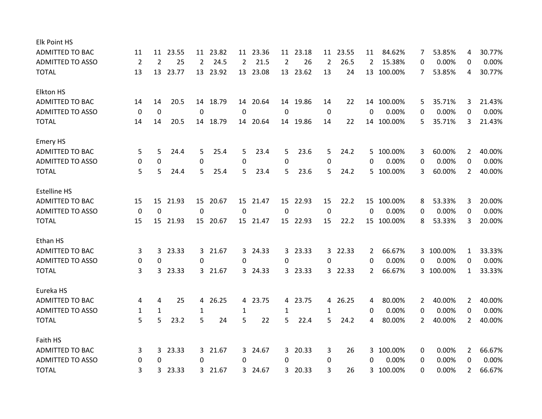| <b>Elk Point HS</b>     |                |                |          |                |          |              |          |              |          |                |         |          |            |   |           |                |        |
|-------------------------|----------------|----------------|----------|----------------|----------|--------------|----------|--------------|----------|----------------|---------|----------|------------|---|-----------|----------------|--------|
| <b>ADMITTED TO BAC</b>  | 11             | 11             | 23.55    |                | 11 23.82 |              | 11 23.36 | 11           | 23.18    | 11             | 23.55   | 11       | 84.62%     | 7 | 53.85%    | 4              | 30.77% |
| <b>ADMITTED TO ASSO</b> | $\overline{2}$ | $\overline{2}$ | 25       | $\overline{2}$ | 24.5     | $\mathbf{2}$ | 21.5     | 2            | 26       | $\overline{2}$ | 26.5    | 2        | 15.38%     | 0 | 0.00%     | 0              | 0.00%  |
| <b>TOTAL</b>            | 13             | 13             | 23.77    |                | 13 23.92 |              | 13 23.08 |              | 13 23.62 | 13             | 24      |          | 13 100.00% | 7 | 53.85%    | 4              | 30.77% |
| <b>Elkton HS</b>        |                |                |          |                |          |              |          |              |          |                |         |          |            |   |           |                |        |
| <b>ADMITTED TO BAC</b>  | 14             | 14             | 20.5     | 14             | 18.79    |              | 14 20.64 |              | 14 19.86 | 14             | 22      |          | 14 100.00% | 5 | 35.71%    | 3              | 21.43% |
| <b>ADMITTED TO ASSO</b> | 0              | 0              |          | 0              |          | 0            |          | 0            |          | 0              |         | 0        | 0.00%      | 0 | 0.00%     | 0              | 0.00%  |
| <b>TOTAL</b>            | 14             | 14             | 20.5     |                | 14 18.79 | 14           | 20.64    |              | 14 19.86 | 14             | 22      |          | 14 100.00% | 5 | 35.71%    | 3              | 21.43% |
| <b>Emery HS</b>         |                |                |          |                |          |              |          |              |          |                |         |          |            |   |           |                |        |
| <b>ADMITTED TO BAC</b>  | 5              | 5              | 24.4     | 5              | 25.4     | 5            | 23.4     | 5            | 23.6     | 5              | 24.2    | 5.       | 100.00%    | 3 | 60.00%    | $\overline{2}$ | 40.00% |
| <b>ADMITTED TO ASSO</b> | 0              | 0              |          | 0              |          | 0            |          | 0            |          | 0              |         | 0        | 0.00%      | 0 | 0.00%     | 0              | 0.00%  |
| <b>TOTAL</b>            | 5              | 5              | 24.4     | 5              | 25.4     | 5            | 23.4     | 5            | 23.6     | 5              | 24.2    |          | 5 100.00%  | 3 | 60.00%    | $\overline{2}$ | 40.00% |
| <b>Estelline HS</b>     |                |                |          |                |          |              |          |              |          |                |         |          |            |   |           |                |        |
| <b>ADMITTED TO BAC</b>  | 15             | 15             | 21.93    | 15             | 20.67    | 15           | 21.47    | 15           | 22.93    | 15             | 22.2    | 15       | 100.00%    | 8 | 53.33%    | 3              | 20.00% |
| <b>ADMITTED TO ASSO</b> | 0              | 0              |          | 0              |          | 0            |          | 0            |          | 0              |         | 0        | 0.00%      | 0 | 0.00%     | 0              | 0.00%  |
| <b>TOTAL</b>            | 15             |                | 15 21.93 |                | 15 20.67 |              | 15 21.47 |              | 15 22.93 | 15             | 22.2    |          | 15 100.00% | 8 | 53.33%    | 3              | 20.00% |
| Ethan HS                |                |                |          |                |          |              |          |              |          |                |         |          |            |   |           |                |        |
| <b>ADMITTED TO BAC</b>  | 3              | 3              | 23.33    |                | 3 21.67  | 3            | 24.33    | $\mathbf{3}$ | 23.33    |                | 3 22.33 | 2        | 66.67%     |   | 3 100.00% | 1              | 33.33% |
| <b>ADMITTED TO ASSO</b> | 0              | 0              |          | $\Omega$       |          | 0            |          | 0            |          | $\Omega$       |         | $\Omega$ | 0.00%      | 0 | 0.00%     | 0              | 0.00%  |
| <b>TOTAL</b>            | 3              | 3              | 23.33    |                | 3 21.67  | 3            | 24.33    |              | 3 23.33  |                | 3 22.33 | 2        | 66.67%     |   | 3 100.00% | 1              | 33.33% |
| Eureka HS               |                |                |          |                |          |              |          |              |          |                |         |          |            |   |           |                |        |
| <b>ADMITTED TO BAC</b>  | 4              | 4              | 25       | 4              | 26.25    | 4            | 23.75    | 4            | 23.75    | $\overline{4}$ | 26.25   | 4        | 80.00%     | 2 | 40.00%    | 2              | 40.00% |
| <b>ADMITTED TO ASSO</b> | 1              | $\mathbf{1}$   |          | 1              |          | $\mathbf{1}$ |          | 1            |          | $\mathbf{1}$   |         | 0        | 0.00%      | 0 | 0.00%     | 0              | 0.00%  |
| <b>TOTAL</b>            | 5              | 5              | 23.2     | 5              | 24       | 5            | 22       | 5            | 22.4     | 5.             | 24.2    | 4        | 80.00%     | 2 | 40.00%    | $\overline{2}$ | 40.00% |
| Faith HS                |                |                |          |                |          |              |          |              |          |                |         |          |            |   |           |                |        |
| <b>ADMITTED TO BAC</b>  | 3              | 3              | 23.33    |                | 3 21.67  | 3            | 24.67    | 3            | 20.33    | 3              | 26      |          | 3 100.00%  | 0 | 0.00%     | 2              | 66.67% |
| <b>ADMITTED TO ASSO</b> | 0              | 0              |          | 0              |          | 0            |          | 0            |          | 0              |         | 0        | 0.00%      | 0 | 0.00%     | 0              | 0.00%  |
| <b>TOTAL</b>            | 3              | 3              | 23.33    |                | 3 21.67  | 3.           | 24.67    | 3            | 20.33    | 3              | 26      |          | 3 100.00%  | 0 | 0.00%     | 2              | 66.67% |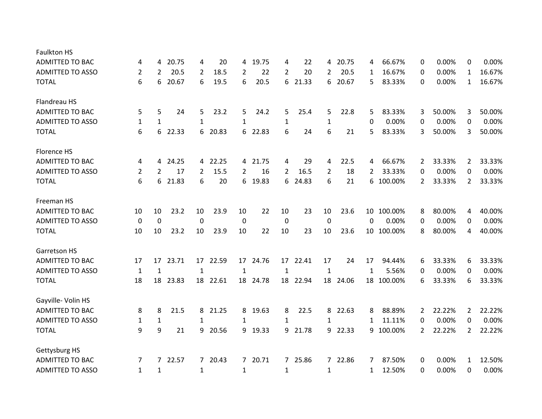| <b>Faulkton HS</b>      |                |                |       |                |          |                |          |                |          |                |          |    |            |   |        |                |        |
|-------------------------|----------------|----------------|-------|----------------|----------|----------------|----------|----------------|----------|----------------|----------|----|------------|---|--------|----------------|--------|
| <b>ADMITTED TO BAC</b>  | 4              | 4              | 20.75 | 4              | 20       | 4              | 19.75    | 4              | 22       | 4              | 20.75    | 4  | 66.67%     | 0 | 0.00%  | 0              | 0.00%  |
| <b>ADMITTED TO ASSO</b> | $\overline{2}$ | $\overline{2}$ | 20.5  | 2              | 18.5     | $\overline{2}$ | 22       | $\overline{2}$ | 20       | $\overline{2}$ | 20.5     | 1  | 16.67%     | 0 | 0.00%  | $\mathbf{1}$   | 16.67% |
| <b>TOTAL</b>            | 6              | 6              | 20.67 | 6              | 19.5     | 6              | 20.5     | 6              | 21.33    | 6              | 20.67    | 5  | 83.33%     | 0 | 0.00%  | 1              | 16.67% |
| Flandreau HS            |                |                |       |                |          |                |          |                |          |                |          |    |            |   |        |                |        |
| <b>ADMITTED TO BAC</b>  | 5              | 5              | 24    | 5              | 23.2     | 5              | 24.2     | 5              | 25.4     | 5              | 22.8     | 5  | 83.33%     | 3 | 50.00% | 3              | 50.00% |
| <b>ADMITTED TO ASSO</b> | $\mathbf{1}$   | $\mathbf{1}$   |       | $\mathbf{1}$   |          | $\mathbf{1}$   |          | $\mathbf{1}$   |          | $\mathbf{1}$   |          | 0  | 0.00%      | 0 | 0.00%  | $\Omega$       | 0.00%  |
| <b>TOTAL</b>            | 6              | 6              | 22.33 | 6              | 20.83    | 6              | 22.83    | 6              | 24       | 6              | 21       | 5  | 83.33%     | 3 | 50.00% | 3              | 50.00% |
| Florence HS             |                |                |       |                |          |                |          |                |          |                |          |    |            |   |        |                |        |
| <b>ADMITTED TO BAC</b>  | 4              | 4              | 24.25 | 4              | 22.25    | 4              | 21.75    | 4              | 29       | 4              | 22.5     | 4  | 66.67%     | 2 | 33.33% | $\overline{2}$ | 33.33% |
| <b>ADMITTED TO ASSO</b> | 2              | 2              | 17    | $\overline{2}$ | 15.5     | $\overline{2}$ | 16       | $\overline{2}$ | 16.5     | 2              | 18       | 2  | 33.33%     | 0 | 0.00%  | 0              | 0.00%  |
| <b>TOTAL</b>            | 6              | 6              | 21.83 | 6              | 20       | 6              | 19.83    | 6              | 24.83    | 6              | 21       | 6  | 100.00%    | 2 | 33.33% | 2              | 33.33% |
| Freeman HS              |                |                |       |                |          |                |          |                |          |                |          |    |            |   |        |                |        |
| <b>ADMITTED TO BAC</b>  | 10             | 10             | 23.2  | 10             | 23.9     | 10             | 22       | 10             | 23       | 10             | 23.6     |    | 10 100.00% | 8 | 80.00% | 4              | 40.00% |
| <b>ADMITTED TO ASSO</b> | $\mathbf 0$    | $\mathbf 0$    |       | $\mathbf 0$    |          | $\mathbf 0$    |          | $\mathbf 0$    |          | $\mathbf 0$    |          | 0  | 0.00%      | 0 | 0.00%  | 0              | 0.00%  |
| <b>TOTAL</b>            | 10             | 10             | 23.2  | 10             | 23.9     | 10             | 22       | 10             | 23       | 10             | 23.6     | 10 | 100.00%    | 8 | 80.00% | 4              | 40.00% |
| Garretson HS            |                |                |       |                |          |                |          |                |          |                |          |    |            |   |        |                |        |
| <b>ADMITTED TO BAC</b>  | 17             | 17             | 23.71 | 17             | 22.59    | 17             | 24.76    | 17             | 22.41    | 17             | 24       | 17 | 94.44%     | 6 | 33.33% | 6              | 33.33% |
| <b>ADMITTED TO ASSO</b> | $\mathbf{1}$   | 1              |       | 1              |          | $\mathbf{1}$   |          | 1              |          | 1              |          | 1  | 5.56%      | 0 | 0.00%  | 0              | 0.00%  |
| <b>TOTAL</b>            | 18             | 18             | 23.83 |                | 18 22.61 |                | 18 24.78 |                | 18 22.94 |                | 18 24.06 |    | 18 100.00% | 6 | 33.33% | 6              | 33.33% |
| Gayville- Volin HS      |                |                |       |                |          |                |          |                |          |                |          |    |            |   |        |                |        |
| <b>ADMITTED TO BAC</b>  | 8              | 8              | 21.5  | 8              | 21.25    | 8              | 19.63    | 8              | 22.5     | 8              | 22.63    | 8  | 88.89%     | 2 | 22.22% | 2              | 22.22% |
| <b>ADMITTED TO ASSO</b> | $\mathbf{1}$   | $\mathbf{1}$   |       | 1              |          | $\mathbf{1}$   |          | 1              |          | 1              |          | 1  | 11.11%     | 0 | 0.00%  | 0              | 0.00%  |
| <b>TOTAL</b>            | q              | 9              | 21    | 9              | 20.56    | 9              | 19.33    | 9              | 21.78    | 9              | 22.33    | 9  | 100.00%    | 2 | 22.22% | $\overline{2}$ | 22.22% |
| Gettysburg HS           |                |                |       |                |          |                |          |                |          |                |          |    |            |   |        |                |        |
| <b>ADMITTED TO BAC</b>  | 7              | $7^{\circ}$    | 22.57 |                | 7 20.43  |                | 7 20.71  |                | 7 25.86  |                | 7 22.86  | 7  | 87.50%     | 0 | 0.00%  | 1              | 12.50% |
| <b>ADMITTED TO ASSO</b> | $\mathbf{1}$   | 1              |       | 1              |          | 1              |          | 1              |          | 1              |          | 1  | 12.50%     | 0 | 0.00%  | 0              | 0.00%  |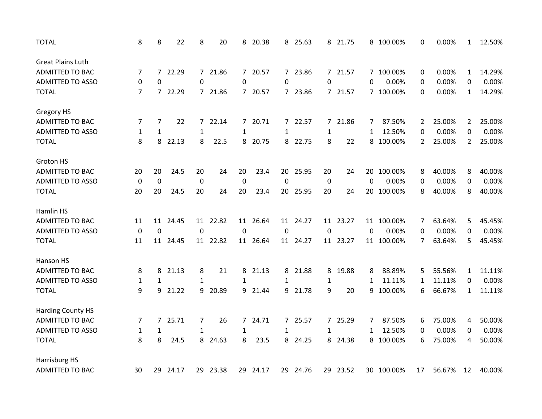| <b>TOTAL</b>             | 8                | 8              | 22    | 8                | 20       | 8              | 20.38    | 8            | 25.63    |              | 8 21.75  |             | 8 100.00%  | 0  | 0.00%  | $\mathbf{1}$   | 12.50% |
|--------------------------|------------------|----------------|-------|------------------|----------|----------------|----------|--------------|----------|--------------|----------|-------------|------------|----|--------|----------------|--------|
| <b>Great Plains Luth</b> |                  |                |       |                  |          |                |          |              |          |              |          |             |            |    |        |                |        |
| <b>ADMITTED TO BAC</b>   | 7                | $\overline{7}$ | 22.29 |                  | 7 21.86  | $\overline{7}$ | 20.57    |              | 7 23.86  |              | 7 21.57  |             | 7 100.00%  | 0  | 0.00%  | $\mathbf{1}$   | 14.29% |
| <b>ADMITTED TO ASSO</b>  | 0                | 0              |       | 0                |          | 0              |          | 0            |          | 0            |          | 0           | 0.00%      | 0  | 0.00%  | 0              | 0.00%  |
| <b>TOTAL</b>             | 7                | $7^{\circ}$    | 22.29 |                  | 7 21.86  | $7^{\circ}$    | 20.57    |              | 7 23.86  |              | 7 21.57  |             | 7 100.00%  | 0  | 0.00%  | $\mathbf{1}$   | 14.29% |
| Gregory HS               |                  |                |       |                  |          |                |          |              |          |              |          |             |            |    |        |                |        |
| <b>ADMITTED TO BAC</b>   | 7                | 7              | 22    | $\overline{7}$   | 22.14    | 7              | 20.71    |              | 7 22.57  | 7            | 21.86    | 7           | 87.50%     | 2  | 25.00% | $\overline{2}$ | 25.00% |
| <b>ADMITTED TO ASSO</b>  | 1                | $\mathbf{1}$   |       | $\mathbf{1}$     |          | $\mathbf{1}$   |          | $\mathbf{1}$ |          | 1            |          | 1           | 12.50%     | 0  | 0.00%  | 0              | 0.00%  |
| <b>TOTAL</b>             | 8                | 8              | 22.13 | 8                | 22.5     | 8              | 20.75    |              | 8 22.75  | 8            | 22       | 8           | 100.00%    | 2  | 25.00% | $\overline{2}$ | 25.00% |
| Groton HS                |                  |                |       |                  |          |                |          |              |          |              |          |             |            |    |        |                |        |
| <b>ADMITTED TO BAC</b>   | 20               | 20             | 24.5  | 20               | 24       | 20             | 23.4     | 20           | 25.95    | 20           | 24       | 20          | 100.00%    | 8  | 40.00% | 8              | 40.00% |
| <b>ADMITTED TO ASSO</b>  | $\boldsymbol{0}$ | $\mathbf 0$    |       | $\boldsymbol{0}$ |          | $\mathbf 0$    |          | $\mathbf 0$  |          | $\pmb{0}$    |          | $\mathbf 0$ | 0.00%      | 0  | 0.00%  | 0              | 0.00%  |
| <b>TOTAL</b>             | 20               | 20             | 24.5  | 20               | 24       | 20             | 23.4     | 20           | 25.95    | 20           | 24       | 20          | 100.00%    | 8  | 40.00% | 8              | 40.00% |
| Hamlin HS                |                  |                |       |                  |          |                |          |              |          |              |          |             |            |    |        |                |        |
| <b>ADMITTED TO BAC</b>   | 11               | 11             | 24.45 | 11               | 22.82    | 11             | 26.64    | 11           | 24.27    |              | 11 23.27 | 11          | 100.00%    | 7  | 63.64% | 5.             | 45.45% |
| <b>ADMITTED TO ASSO</b>  | $\mathbf 0$      | $\mathbf 0$    |       | $\mathbf 0$      |          | 0              |          | $\mathbf 0$  |          | $\mathbf 0$  |          | 0           | 0.00%      | 0  | 0.00%  | 0              | 0.00%  |
| <b>TOTAL</b>             | 11               | 11             | 24.45 |                  | 11 22.82 |                | 11 26.64 |              | 11 24.27 |              | 11 23.27 |             | 11 100.00% | 7  | 63.64% | 5              | 45.45% |
| Hanson HS                |                  |                |       |                  |          |                |          |              |          |              |          |             |            |    |        |                |        |
| <b>ADMITTED TO BAC</b>   | 8                | 8              | 21.13 | 8                | 21       | 8              | 21.13    | 8            | 21.88    | 8            | 19.88    | 8           | 88.89%     | 5  | 55.56% | 1              | 11.11% |
| <b>ADMITTED TO ASSO</b>  | $\mathbf{1}$     | $\mathbf{1}$   |       | $\mathbf{1}$     |          | $\mathbf{1}$   |          | 1            |          | $\mathbf{1}$ |          | 1           | 11.11%     | 1  | 11.11% | 0              | 0.00%  |
| <b>TOTAL</b>             | 9                | 9              | 21.22 | 9                | 20.89    | 9              | 21.44    | 9.           | 21.78    | 9            | 20       | 9           | 100.00%    | 6  | 66.67% | 1              | 11.11% |
| <b>Harding County HS</b> |                  |                |       |                  |          |                |          |              |          |              |          |             |            |    |        |                |        |
| ADMITTED TO BAC          | 7                | 7              | 25.71 | 7                | 26       | 7              | 24.71    |              | 7 25.57  |              | 7 25.29  | 7           | 87.50%     | 6  | 75.00% | 4              | 50.00% |
| <b>ADMITTED TO ASSO</b>  | $\mathbf{1}$     | $\mathbf{1}$   |       | $\mathbf{1}$     |          | $\mathbf{1}$   |          | $\mathbf{1}$ |          | $\mathbf{1}$ |          | 1           | 12.50%     | 0  | 0.00%  | 0              | 0.00%  |
| <b>TOTAL</b>             | 8                | 8              | 24.5  |                  | 8 24.63  | 8              | 23.5     | 8            | 24.25    | 8            | 24.38    | 8           | 100.00%    | 6  | 75.00% | 4              | 50.00% |
| Harrisburg HS            |                  |                |       |                  |          |                |          |              |          |              |          |             |            |    |        |                |        |
| <b>ADMITTED TO BAC</b>   | 30               | 29             | 24.17 |                  | 29 23.38 |                | 29 24.17 |              | 29 24.76 |              | 29 23.52 |             | 30 100.00% | 17 | 56.67% | 12             | 40.00% |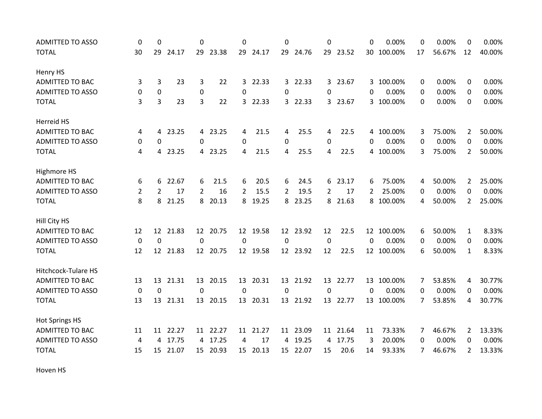| <b>ADMITTED TO ASSO</b> | 0              | $\Omega$          |          | 0               |          | 0              |          | 0           |          | $\Omega$       |          | 0        | 0.00%      | 0  | 0.00%  | 0              | 0.00%  |
|-------------------------|----------------|-------------------|----------|-----------------|----------|----------------|----------|-------------|----------|----------------|----------|----------|------------|----|--------|----------------|--------|
| <b>TOTAL</b>            | 30             |                   | 29 24.17 |                 | 29 23.38 |                | 29 24.17 |             | 29 24.76 |                | 29 23.52 |          | 30 100.00% | 17 | 56.67% | 12             | 40.00% |
| Henry HS                |                |                   |          |                 |          |                |          |             |          |                |          |          |            |    |        |                |        |
| <b>ADMITTED TO BAC</b>  | 3              | 3                 | 23       | 3               | 22       | $\overline{3}$ | 22.33    |             | 3 22.33  |                | 3 23.67  |          | 3 100.00%  | 0  | 0.00%  | 0              | 0.00%  |
| <b>ADMITTED TO ASSO</b> | 0              | 0                 |          | 0               |          | $\Omega$       |          | 0           |          | $\Omega$       |          | $\Omega$ | 0.00%      | 0  | 0.00%  | 0              | 0.00%  |
| <b>TOTAL</b>            | 3              | 3                 | 23       | 3               | 22       | 3              | 22.33    |             | 3 22.33  |                | 3 23.67  |          | 3 100.00%  | 0  | 0.00%  | 0              | 0.00%  |
| Herreid HS              |                |                   |          |                 |          |                |          |             |          |                |          |          |            |    |        |                |        |
| <b>ADMITTED TO BAC</b>  | 4              | 4                 | 23.25    |                 | 4 23.25  | 4              | 21.5     | 4           | 25.5     | 4              | 22.5     |          | 4 100.00%  | 3  | 75.00% | $\overline{2}$ | 50.00% |
| <b>ADMITTED TO ASSO</b> | 0              | 0                 |          | 0               |          | 0              |          | 0           |          | $\mathbf 0$    |          | 0        | 0.00%      | 0  | 0.00%  | 0              | 0.00%  |
| <b>TOTAL</b>            | 4              | 4                 | 23.25    |                 | 4 23.25  | 4              | 21.5     | 4           | 25.5     | 4              | 22.5     |          | 4 100.00%  | 3  | 75.00% | $\overline{2}$ | 50.00% |
| Highmore HS             |                |                   |          |                 |          |                |          |             |          |                |          |          |            |    |        |                |        |
| ADMITTED TO BAC         | 6              | 6                 | 22.67    | 6               | 21.5     | 6              | 20.5     | 6           | 24.5     |                | 6 23.17  | 6        | 75.00%     | 4  | 50.00% | $\mathbf{2}$   | 25.00% |
| <b>ADMITTED TO ASSO</b> | $\overline{2}$ | 2                 | 17       | $\overline{2}$  | 16       | $\overline{2}$ | 15.5     | 2           | 19.5     | $\overline{2}$ | 17       | 2        | 25.00%     | 0  | 0.00%  | 0              | 0.00%  |
| <b>TOTAL</b>            | 8              | 8                 | 21.25    | 8               | 20.13    | 8              | 19.25    | 8           | 23.25    |                | 8 21.63  | 8        | 100.00%    | 4  | 50.00% | $\overline{2}$ | 25.00% |
| Hill City HS            |                |                   |          |                 |          |                |          |             |          |                |          |          |            |    |        |                |        |
| <b>ADMITTED TO BAC</b>  | 12             | $12 \overline{ }$ | 21.83    | 12 <sup>2</sup> | 20.75    |                | 12 19.58 |             | 12 23.92 | 12             | 22.5     |          | 12 100.00% | 6  | 50.00% | $\mathbf{1}$   | 8.33%  |
| <b>ADMITTED TO ASSO</b> | 0              | 0                 |          | 0               |          | 0              |          | 0           |          | 0              |          | $\Omega$ | 0.00%      | 0  | 0.00%  | 0              | 0.00%  |
| <b>TOTAL</b>            | 12             | 12                | 21.83    | 12              | 20.75    |                | 12 19.58 |             | 12 23.92 | 12             | 22.5     |          | 12 100.00% | 6  | 50.00% | $\mathbf{1}$   | 8.33%  |
| Hitchcock-Tulare HS     |                |                   |          |                 |          |                |          |             |          |                |          |          |            |    |        |                |        |
| <b>ADMITTED TO BAC</b>  | 13             | 13                | 21.31    |                 | 13 20.15 | 13             | 20.31    |             | 13 21.92 |                | 13 22.77 |          | 13 100.00% | 7  | 53.85% | 4              | 30.77% |
| <b>ADMITTED TO ASSO</b> | $\mathbf 0$    | 0                 |          | 0               |          | 0              |          | $\mathbf 0$ |          | 0              |          | 0        | 0.00%      | 0  | 0.00%  | 0              | 0.00%  |
| <b>TOTAL</b>            | 13             | 13                | 21.31    |                 | 13 20.15 |                | 13 20.31 |             | 13 21.92 |                | 13 22.77 |          | 13 100.00% | 7  | 53.85% | 4              | 30.77% |
| <b>Hot Springs HS</b>   |                |                   |          |                 |          |                |          |             |          |                |          |          |            |    |        |                |        |
| ADMITTED TO BAC         | 11             | 11                | 22.27    |                 | 11 22.27 | 11             | 21.27    |             | 11 23.09 | 11             | 21.64    | 11       | 73.33%     | 7  | 46.67% | $\mathbf{2}$   | 13.33% |
| <b>ADMITTED TO ASSO</b> | 4              | 4                 | 17.75    |                 | 4 17.25  | 4              | 17       | 4           | 19.25    | 4              | 17.75    | 3        | 20.00%     | 0  | 0.00%  | 0              | 0.00%  |
| <b>TOTAL</b>            | 15             | 15                | 21.07    | 15              | 20.93    | 15             | 20.13    | 15          | 22.07    | 15             | 20.6     | 14       | 93.33%     | 7  | 46.67% | $\overline{2}$ | 13.33% |

Hoven HS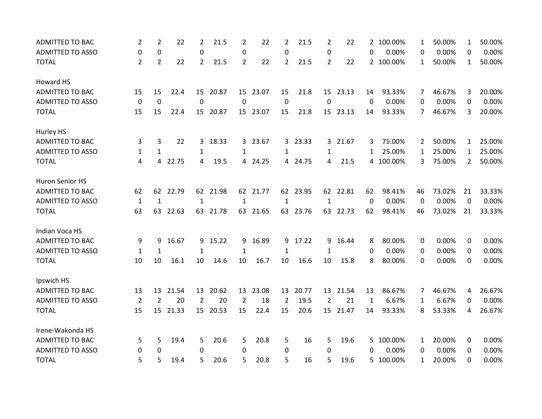| <b>ADMITTED TO BAC</b>  | $\overline{2}$ | $\overline{2}$ | 22    | $\overline{2}$ | 21.5     | 2              | 22       | 2            | 21.5     | 2              | 22       |             | 2 100.00% | 1  | 50.00% | $\mathbf{1}$   | 50.00% |
|-------------------------|----------------|----------------|-------|----------------|----------|----------------|----------|--------------|----------|----------------|----------|-------------|-----------|----|--------|----------------|--------|
| <b>ADMITTED TO ASSO</b> | 0              | 0              |       | 0              |          | 0              |          | 0            |          | 0              |          | 0           | 0.00%     | 0  | 0.00%  | 0              | 0.00%  |
| <b>TOTAL</b>            | 2              | 2              | 22    | $\overline{2}$ | 21.5     | 2              | 22       | $\mathbf{2}$ | 21.5     | $\overline{2}$ | 22       |             | 2 100.00% | 1  | 50.00% | $\mathbf{1}$   | 50.00% |
| Howard HS               |                |                |       |                |          |                |          |              |          |                |          |             |           |    |        |                |        |
| <b>ADMITTED TO BAC</b>  | 15             | 15             | 22.4  |                | 15 20.87 |                | 15 23.07 | 15           | 21.8     |                | 15 23.13 | 14          | 93.33%    | 7  | 46.67% | 3              | 20.00% |
| <b>ADMITTED TO ASSO</b> | $\mathbf 0$    | 0              |       | 0              |          | 0              |          | $\mathbf 0$  |          | $\mathbf 0$    |          | $\Omega$    | 0.00%     | 0  | 0.00%  | $\Omega$       | 0.00%  |
| <b>TOTAL</b>            | 15             | 15             | 22.4  | 15             | 20.87    | 15             | 23.07    | 15           | 21.8     | 15             | 23.13    | 14          | 93.33%    | 7  | 46.67% | 3              | 20.00% |
| Hurley HS               |                |                |       |                |          |                |          |              |          |                |          |             |           |    |        |                |        |
| <b>ADMITTED TO BAC</b>  | 3              | 3              | 22    | 3              | 18.33    | 3              | 23.67    |              | 3 23.33  |                | 3 21.67  | 3           | 75.00%    | 2  | 50.00% | 1              | 25.00% |
| <b>ADMITTED TO ASSO</b> | 1              | $\mathbf{1}$   |       | 1              |          | 1              |          | 1            |          | 1              |          | 1           | 25.00%    | 1  | 25.00% | $\mathbf{1}$   | 25.00% |
| <b>TOTAL</b>            | 4              | 4              | 22.75 | 4              | 19.5     | 4              | 24.25    |              | 4 24.75  | 4              | 21.5     |             | 4 100.00% | 3  | 75.00% | $\overline{2}$ | 50.00% |
| Huron Senior HS         |                |                |       |                |          |                |          |              |          |                |          |             |           |    |        |                |        |
| <b>ADMITTED TO BAC</b>  | 62             | 62             | 22.79 | 62             | 21.98    |                | 62 21.77 |              | 62 23.95 |                | 62 22.81 | 62          | 98.41%    | 46 | 73.02% | 21             | 33.33% |
| <b>ADMITTED TO ASSO</b> | $\mathbf{1}$   | $\mathbf{1}$   |       | $\mathbf{1}$   |          | $\mathbf{1}$   |          | 1            |          | 1              |          | $\Omega$    | 0.00%     | 0  | 0.00%  | 0              | 0.00%  |
| <b>TOTAL</b>            | 63             | 63             | 22.63 | 63             | 21.78    | 63             | 21.65    | 63           | 23.76    |                | 63 22.73 | 62          | 98.41%    | 46 | 73.02% | 21             | 33.33% |
| Indian Voca HS          |                |                |       |                |          |                |          |              |          |                |          |             |           |    |        |                |        |
| ADMITTED TO BAC         | 9              | 9              | 16.67 |                | 9 15.22  | 9              | 16.89    | 9            | 17.22    | 9              | 16.44    | 8           | 80.00%    | 0  | 0.00%  | 0              | 0.00%  |
| <b>ADMITTED TO ASSO</b> | 1              | 1              |       | 1              |          | $\mathbf{1}$   |          | 1            |          | 1              |          | 0           | 0.00%     | 0  | 0.00%  | 0              | 0.00%  |
| <b>TOTAL</b>            | 10             | 10             | 16.1  | 10             | 14.6     | 10             | 16.7     | 10           | 16.6     | 10             | 15.8     | 8           | 80.00%    | 0  | 0.00%  | 0              | 0.00%  |
| Ipswich HS              |                |                |       |                |          |                |          |              |          |                |          |             |           |    |        |                |        |
| <b>ADMITTED TO BAC</b>  | 13             | 13             | 21.54 | 13             | 20.62    | 13             | 23.08    | 13           | 20.77    | 13             | 21.54    | 13          | 86.67%    | 7  | 46.67% | 4              | 26.67% |
| <b>ADMITTED TO ASSO</b> | $\overline{2}$ | $\overline{2}$ | 20    | 2              | 20       | $\overline{2}$ | 18       | 2            | 19.5     | 2              | 21       | $\mathbf 1$ | 6.67%     | 1  | 6.67%  | 0              | 0.00%  |
| <b>TOTAL</b>            | 15             | 15             | 21.33 |                | 15 20.53 | 15             | 22.4     | 15           | 20.6     |                | 15 21.47 | 14          | 93.33%    | 8  | 53.33% | 4              | 26.67% |
| Irene-Wakonda HS        |                |                |       |                |          |                |          |              |          |                |          |             |           |    |        |                |        |
| <b>ADMITTED TO BAC</b>  | 5              | 5              | 19.4  | 5              | 20.6     | 5              | 20.8     | 5            | 16       | 5              | 19.6     | 5.          | 100.00%   | 1  | 20.00% | 0              | 0.00%  |
| <b>ADMITTED TO ASSO</b> | 0              | $\Omega$       |       | 0              |          | $\Omega$       |          | 0            |          | $\Omega$       |          | 0           | 0.00%     | 0  | 0.00%  | 0              | 0.00%  |
| <b>TOTAL</b>            | 5              | 5              | 19.4  | 5              | 20.6     | 5              | 20.8     | 5            | 16       | 5              | 19.6     | 5           | 100.00%   | 1  | 20.00% | 0              | 0.00%  |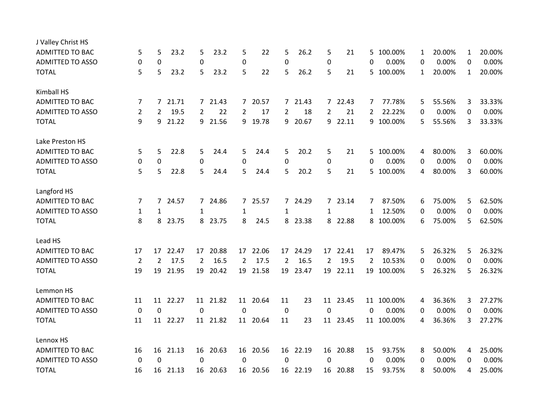| J Valley Christ HS      |                |                  |          |                |          |                |          |                  |          |                |          |          |            |              |        |              |        |
|-------------------------|----------------|------------------|----------|----------------|----------|----------------|----------|------------------|----------|----------------|----------|----------|------------|--------------|--------|--------------|--------|
| <b>ADMITTED TO BAC</b>  | 5              | 5                | 23.2     | 5              | 23.2     | 5              | 22       | 5                | 26.2     | 5              | 21       | 5.       | 100.00%    | $\mathbf{1}$ | 20.00% | $\mathbf{1}$ | 20.00% |
| <b>ADMITTED TO ASSO</b> | 0              | $\boldsymbol{0}$ |          | 0              |          | $\mathbf 0$    |          | 0                |          | 0              |          | 0        | 0.00%      | 0            | 0.00%  | 0            | 0.00%  |
| <b>TOTAL</b>            | 5              | 5                | 23.2     | 5              | 23.2     | 5              | 22       | 5                | 26.2     | 5              | 21       |          | 5 100.00%  | 1            | 20.00% | $\mathbf{1}$ | 20.00% |
| <b>Kimball HS</b>       |                |                  |          |                |          |                |          |                  |          |                |          |          |            |              |        |              |        |
| ADMITTED TO BAC         | 7              | 7                | 21.71    |                | 7 21.43  | $7^{\circ}$    | 20.57    |                  | 7 21.43  |                | 7 22.43  | 7        | 77.78%     | 5            | 55.56% | 3            | 33.33% |
| <b>ADMITTED TO ASSO</b> | $\overline{2}$ | 2                | 19.5     | $\overline{2}$ | 22       | 2              | 17       | $\overline{2}$   | 18       | $\overline{2}$ | 21       | 2        | 22.22%     | 0            | 0.00%  | 0            | 0.00%  |
| <b>TOTAL</b>            | 9              | 9                | 21.22    |                | 9 21.56  |                | 9 19.78  | 9                | 20.67    |                | 9 22.11  |          | 9 100.00%  | 5            | 55.56% | 3            | 33.33% |
| Lake Preston HS         |                |                  |          |                |          |                |          |                  |          |                |          |          |            |              |        |              |        |
| <b>ADMITTED TO BAC</b>  | 5              | 5                | 22.8     | 5              | 24.4     | 5              | 24.4     | 5                | 20.2     | 5              | 21       | 5        | 100.00%    | 4            | 80.00% | 3            | 60.00% |
| <b>ADMITTED TO ASSO</b> | 0              | 0                |          | $\mathbf 0$    |          | 0              |          | 0                |          | 0              |          | 0        | 0.00%      | 0            | 0.00%  | $\Omega$     | 0.00%  |
| <b>TOTAL</b>            | 5              | 5                | 22.8     | 5.             | 24.4     | 5.             | 24.4     | 5                | 20.2     | 5              | 21       |          | 5 100.00%  | 4            | 80.00% | 3            | 60.00% |
| Langford HS             |                |                  |          |                |          |                |          |                  |          |                |          |          |            |              |        |              |        |
| <b>ADMITTED TO BAC</b>  | 7              | $\overline{7}$   | 24.57    |                | 7 24.86  | $\overline{7}$ | 25.57    |                  | 7 24.29  |                | 7 23.14  | 7        | 87.50%     | 6            | 75.00% | 5            | 62.50% |
| <b>ADMITTED TO ASSO</b> | 1              | 1                |          | 1              |          | 1              |          | 1                |          | 1              |          | 1        | 12.50%     | $\Omega$     | 0.00%  | $\mathbf 0$  | 0.00%  |
| <b>TOTAL</b>            | 8              | 8                | 23.75    |                | 8 23.75  | 8              | 24.5     |                  | 8 23.38  |                | 8 22.88  |          | 8 100.00%  | 6            | 75.00% | 5            | 62.50% |
| Lead HS                 |                |                  |          |                |          |                |          |                  |          |                |          |          |            |              |        |              |        |
| <b>ADMITTED TO BAC</b>  | 17             | 17               | 22.47    | 17             | 20.88    | 17             | 22.06    |                  | 17 24.29 | 17             | 22.41    | 17       | 89.47%     | 5            | 26.32% | 5            | 26.32% |
| <b>ADMITTED TO ASSO</b> | 2              | 2                | 17.5     | 2              | 16.5     | $\overline{2}$ | 17.5     | 2                | 16.5     | $\overline{2}$ | 19.5     | 2        | 10.53%     | 0            | 0.00%  | 0            | 0.00%  |
| <b>TOTAL</b>            | 19             | 19               | 21.95    | 19             | 20.42    |                | 19 21.58 | 19               | 23.47    |                | 19 22.11 |          | 19 100.00% | 5            | 26.32% | 5            | 26.32% |
| Lemmon HS               |                |                  |          |                |          |                |          |                  |          |                |          |          |            |              |        |              |        |
| <b>ADMITTED TO BAC</b>  | 11             | 11               | 22.27    | 11             | 21.82    | 11             | 20.64    | 11               | 23       | 11             | 23.45    |          | 11 100.00% | 4            | 36.36% | 3            | 27.27% |
| <b>ADMITTED TO ASSO</b> | $\mathbf 0$    | 0                |          | $\mathbf 0$    |          | 0              |          | $\boldsymbol{0}$ |          | $\mathbf 0$    |          | 0        | 0.00%      | 0            | 0.00%  | 0            | 0.00%  |
| <b>TOTAL</b>            | 11             |                  | 11 22.27 |                | 11 21.82 |                | 11 20.64 | 11               | 23       |                | 11 23.45 |          | 11 100.00% | 4            | 36.36% | 3            | 27.27% |
| Lennox HS               |                |                  |          |                |          |                |          |                  |          |                |          |          |            |              |        |              |        |
| <b>ADMITTED TO BAC</b>  | 16             | 16               | 21.13    | 16             | 20.63    | 16             | 20.56    | 16               | 22.19    | 16             | 20.88    | 15       | 93.75%     | 8            | 50.00% | 4            | 25.00% |
| <b>ADMITTED TO ASSO</b> | $\mathbf 0$    | $\mathbf 0$      |          | 0              |          | 0              |          | 0                |          | 0              |          | $\Omega$ | 0.00%      | 0            | 0.00%  | 0            | 0.00%  |
| <b>TOTAL</b>            | 16             |                  | 16 21.13 |                | 16 20.63 |                | 16 20.56 |                  | 16 22.19 |                | 16 20.88 | 15       | 93.75%     | 8            | 50.00% | 4            | 25.00% |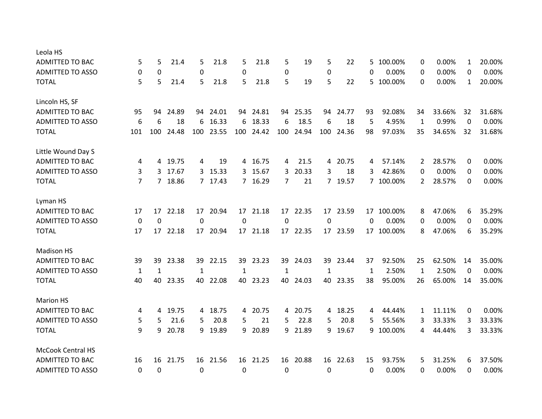| 5            | 5            | 21.4  | 5         | 21.8  | 5                                                                                                      | 21.8  | 5                                                                       | 19    | 5                                                            | 22    | 5                                                                             | 100.00% | 0                                          | 0.00%  | $\mathbf{1}$ | 20.00% |
|--------------|--------------|-------|-----------|-------|--------------------------------------------------------------------------------------------------------|-------|-------------------------------------------------------------------------|-------|--------------------------------------------------------------|-------|-------------------------------------------------------------------------------|---------|--------------------------------------------|--------|--------------|--------|
| 0            | 0            |       | $\pmb{0}$ |       | 0                                                                                                      |       | 0                                                                       |       | $\mathbf 0$                                                  |       | 0                                                                             | 0.00%   | 0                                          | 0.00%  | 0            | 0.00%  |
| 5            | 5            | 21.4  | 5         | 21.8  | 5                                                                                                      | 21.8  | 5                                                                       | 19    | 5                                                            | 22    | 5.                                                                            | 100.00% | 0                                          | 0.00%  | $\mathbf{1}$ | 20.00% |
|              |              |       |           |       |                                                                                                        |       |                                                                         |       |                                                              |       |                                                                               |         |                                            |        |              |        |
| 95           | 94           | 24.89 |           |       |                                                                                                        | 24.81 | 94                                                                      | 25.35 |                                                              | 24.77 | 93                                                                            | 92.08%  | 34                                         | 33.66% | 32           | 31.68% |
| 6            | 6            | 18    | 6         | 16.33 | 6                                                                                                      | 18.33 | 6                                                                       | 18.5  | 6                                                            | 18    | 5                                                                             | 4.95%   | $\mathbf{1}$                               | 0.99%  | 0            | 0.00%  |
| 101          | 100          | 24.48 |           |       |                                                                                                        | 24.42 | 100                                                                     | 24.94 |                                                              | 24.36 | 98                                                                            | 97.03%  | 35                                         | 34.65% | 32           | 31.68% |
|              |              |       |           |       |                                                                                                        |       |                                                                         |       |                                                              |       |                                                                               |         |                                            |        |              |        |
| 4            | 4            | 19.75 | 4         | 19    |                                                                                                        | 16.75 | 4                                                                       | 21.5  |                                                              | 20.75 | 4                                                                             | 57.14%  | 2                                          | 28.57% | 0            | 0.00%  |
| 3            | 3            | 17.67 |           |       |                                                                                                        | 15.67 | $\mathbf{3}$                                                            | 20.33 | 3                                                            | 18    | 3                                                                             | 42.86%  | 0                                          | 0.00%  | 0            | 0.00%  |
| 7            |              |       |           |       |                                                                                                        |       | 7                                                                       | 21    |                                                              |       |                                                                               |         | 2                                          | 28.57% | 0            | 0.00%  |
|              |              |       |           |       |                                                                                                        |       |                                                                         |       |                                                              |       |                                                                               |         |                                            |        |              |        |
| 17           | 17           | 22.18 |           |       |                                                                                                        | 21.18 |                                                                         |       |                                                              | 23.59 |                                                                               |         | 8                                          | 47.06% | 6            | 35.29% |
| 0            | $\Omega$     |       | $\Omega$  |       | $\Omega$                                                                                               |       | $\overline{0}$                                                          |       | $\Omega$                                                     |       | $\Omega$                                                                      | 0.00%   | 0                                          | 0.00%  | 0            | 0.00%  |
| 17           | 17           | 22.18 |           | 20.94 |                                                                                                        | 21.18 |                                                                         |       |                                                              | 23.59 |                                                                               | 100.00% | 8                                          | 47.06% | 6            | 35.29% |
|              |              |       |           |       |                                                                                                        |       |                                                                         |       |                                                              |       |                                                                               |         |                                            |        |              |        |
| 39           | 39           | 23.38 |           |       |                                                                                                        | 23.23 |                                                                         | 24.03 |                                                              | 23.44 | 37                                                                            | 92.50%  | 25                                         | 62.50% | 14           | 35.00% |
| $\mathbf{1}$ | $\mathbf{1}$ |       | 1         |       | 1                                                                                                      |       | 1                                                                       |       | 1                                                            |       | 1                                                                             | 2.50%   | 1                                          | 2.50%  | 0            | 0.00%  |
| 40           | 40           | 23.35 |           | 22.08 |                                                                                                        | 23.23 | 40                                                                      | 24.03 |                                                              | 23.35 | 38                                                                            | 95.00%  | 26                                         | 65.00% | 14           | 35.00% |
|              |              |       |           |       |                                                                                                        |       |                                                                         |       |                                                              |       |                                                                               |         |                                            |        |              |        |
| 4            | 4            | 19.75 | 4         | 18.75 | 4                                                                                                      | 20.75 |                                                                         |       |                                                              |       | 4                                                                             | 44.44%  | 1                                          | 11.11% | 0            | 0.00%  |
| 5            | 5            | 21.6  | 5         | 20.8  | 5                                                                                                      | 21    | 5                                                                       | 22.8  | 5.                                                           | 20.8  | 5                                                                             | 55.56%  | 3                                          | 33.33% | 3            | 33.33% |
| 9            | 9            | 20.78 |           |       |                                                                                                        | 20.89 |                                                                         |       |                                                              | 19.67 |                                                                               |         | 4                                          | 44.44% | 3            | 33.33% |
|              |              |       |           |       |                                                                                                        |       |                                                                         |       |                                                              |       |                                                                               |         |                                            |        |              |        |
| 16           | 16           | 21.75 |           |       |                                                                                                        |       |                                                                         |       |                                                              |       | 15                                                                            | 93.75%  | 5                                          | 31.25% | 6            | 37.50% |
| 0            | $\mathbf 0$  |       | 0         |       | 0                                                                                                      |       | 0                                                                       |       | 0                                                            |       | 0                                                                             | 0.00%   | 0                                          | 0.00%  | 0            | 0.00%  |
|              |              |       | 7 18.86   |       | 94 24.01<br>100 23.55<br>3 15.33<br>7 17.43<br>17 20.94<br>17<br>39 22.15<br>40<br>9 19.89<br>16 21.56 |       | 94<br>100<br>4<br>3<br>7 16.29<br>17<br>17<br>39<br>40<br>9<br>16 21.25 |       | 17 22.35<br>17 22.35<br>39<br>4 20.75<br>9 21.89<br>16 20.88 |       | 94<br>100<br>4<br>7 19.57<br>17<br>17<br>39<br>40<br>4 18.25<br>9<br>16 22.63 |         | 7 100.00%<br>17 100.00%<br>17<br>9 100.00% |        |              |        |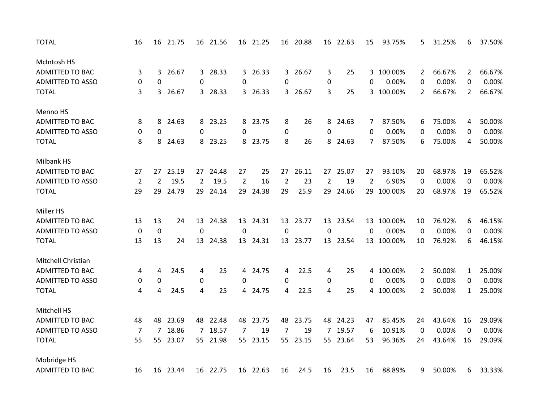| <b>TOTAL</b>            | 16             | 16             | 21.75    |                | 16 21.56 |             | 16 21.25 |                  | 16 20.88 |                | 16 22.63 | 15             | 93.75%     | 5              | 31.25% | 6              | 37.50% |
|-------------------------|----------------|----------------|----------|----------------|----------|-------------|----------|------------------|----------|----------------|----------|----------------|------------|----------------|--------|----------------|--------|
| McIntosh HS             |                |                |          |                |          |             |          |                  |          |                |          |                |            |                |        |                |        |
| <b>ADMITTED TO BAC</b>  | 3              | 3              | 26.67    |                | 3 28.33  | 3           | 26.33    |                  | 3 26.67  | 3              | 25       |                | 3 100.00%  | 2              | 66.67% | $\mathbf{2}$   | 66.67% |
| <b>ADMITTED TO ASSO</b> | 0              | 0              |          | 0              |          | 0           |          | 0                |          | 0              |          | 0              | 0.00%      | 0              | 0.00%  | 0              | 0.00%  |
| <b>TOTAL</b>            | 3              | 3              | 26.67    |                | 3 28.33  |             | 3 26.33  |                  | 3 26.67  | 3              | 25       |                | 3 100.00%  | $\overline{2}$ | 66.67% | $\overline{2}$ | 66.67% |
| Menno HS                |                |                |          |                |          |             |          |                  |          |                |          |                |            |                |        |                |        |
| <b>ADMITTED TO BAC</b>  | 8              | 8              | 24.63    | 8              | 23.25    | 8           | 23.75    | 8                | 26       | 8              | 24.63    | 7              | 87.50%     | 6              | 75.00% | 4              | 50.00% |
| <b>ADMITTED TO ASSO</b> | 0              | $\mathbf 0$    |          | 0              |          | 0           |          | 0                |          | 0              |          | 0              | 0.00%      | 0              | 0.00%  | 0              | 0.00%  |
| <b>TOTAL</b>            | 8              | 8              | 24.63    |                | 8 23.25  |             | 8 23.75  | 8                | 26       |                | 8 24.63  | 7              | 87.50%     | 6              | 75.00% | 4              | 50.00% |
| Milbank HS              |                |                |          |                |          |             |          |                  |          |                |          |                |            |                |        |                |        |
| ADMITTED TO BAC         | 27             | 27             | 25.19    |                | 27 24.48 | 27          | 25       | 27               | 26.11    | 27             | 25.07    | 27             | 93.10%     | 20             | 68.97% | 19             | 65.52% |
| <b>ADMITTED TO ASSO</b> | $\overline{2}$ | $\overline{2}$ | 19.5     | $\overline{2}$ | 19.5     | 2           | 16       | $\overline{2}$   | 23       | $\overline{2}$ | 19       | $\overline{2}$ | 6.90%      | 0              | 0.00%  | 0              | 0.00%  |
| <b>TOTAL</b>            | 29             | 29             | 24.79    |                | 29 24.14 | 29          | 24.38    | 29               | 25.9     | 29             | 24.66    |                | 29 100.00% | 20             | 68.97% | 19             | 65.52% |
| Miller HS               |                |                |          |                |          |             |          |                  |          |                |          |                |            |                |        |                |        |
| <b>ADMITTED TO BAC</b>  | 13             | 13             | 24       | 13             | 24.38    | 13          | 24.31    | 13               | 23.77    |                | 13 23.54 | 13             | 100.00%    | 10             | 76.92% | 6              | 46.15% |
| <b>ADMITTED TO ASSO</b> | $\mathbf 0$    | $\mathbf 0$    |          | $\mathbf 0$    |          | $\mathbf 0$ |          | $\boldsymbol{0}$ |          | $\mathbf 0$    |          | 0              | 0.00%      | 0              | 0.00%  | 0              | 0.00%  |
| <b>TOTAL</b>            | 13             | 13             | 24       |                | 13 24.38 |             | 13 24.31 |                  | 13 23.77 |                | 13 23.54 |                | 13 100.00% | 10             | 76.92% | 6              | 46.15% |
| Mitchell Christian      |                |                |          |                |          |             |          |                  |          |                |          |                |            |                |        |                |        |
| ADMITTED TO BAC         | 4              | 4              | 24.5     | 4              | 25       | 4           | 24.75    | 4                | 22.5     | 4              | 25       | 4              | 100.00%    | 2              | 50.00% | 1              | 25.00% |
| <b>ADMITTED TO ASSO</b> | 0              | 0              |          | 0              |          | 0           |          | 0                |          | $\pmb{0}$      |          | 0              | 0.00%      | 0              | 0.00%  | 0              | 0.00%  |
| <b>TOTAL</b>            | 4              | 4              | 24.5     | 4              | 25       | 4           | 24.75    | 4                | 22.5     | 4              | 25       |                | 4 100.00%  | $\overline{2}$ | 50.00% | $\mathbf{1}$   | 25.00% |
| Mitchell HS             |                |                |          |                |          |             |          |                  |          |                |          |                |            |                |        |                |        |
| <b>ADMITTED TO BAC</b>  | 48             | 48             | 23.69    |                | 48 22.48 | 48          | 23.75    | 48               | 23.75    | 48             | 24.23    | 47             | 85.45%     | 24             | 43.64% | 16             | 29.09% |
| <b>ADMITTED TO ASSO</b> | $\overline{7}$ | 7              | 18.86    | $7^{\circ}$    | 18.57    | 7           | 19       | 7                | 19       | $\overline{7}$ | 19.57    | 6              | 10.91%     | 0              | 0.00%  | 0              | 0.00%  |
| <b>TOTAL</b>            | 55             | 55             | 23.07    |                | 55 21.98 |             | 55 23.15 | 55               | 23.15    |                | 55 23.64 | 53             | 96.36%     | 24             | 43.64% | 16             | 29.09% |
| Mobridge HS             |                |                |          |                |          |             |          |                  |          |                |          |                |            |                |        |                |        |
| <b>ADMITTED TO BAC</b>  | 16             |                | 16 23.44 |                | 16 22.75 |             | 16 22.63 | 16               | 24.5     | 16             | 23.5     | 16             | 88.89%     | 9              | 50.00% | 6              | 33.33% |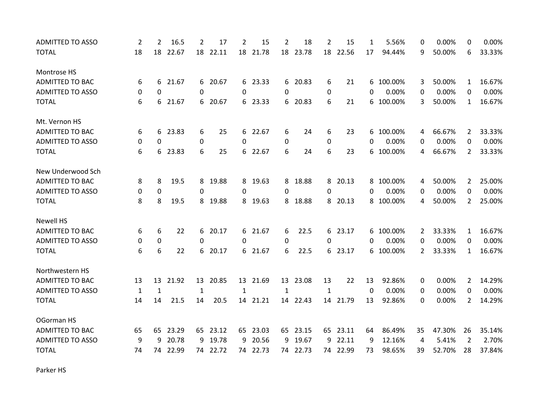| <b>ADMITTED TO ASSO</b> | 2            | $\overline{2}$ | 16.5  | 2            | 17       | 2            | 15       | $\overline{2}$ | 18       | $\overline{2}$   | 15       | 1  | 5.56%     | 0              | 0.00%  | 0              | 0.00%  |
|-------------------------|--------------|----------------|-------|--------------|----------|--------------|----------|----------------|----------|------------------|----------|----|-----------|----------------|--------|----------------|--------|
| <b>TOTAL</b>            | 18           | 18             | 22.67 |              | 18 22.11 |              | 18 21.78 |                | 18 23.78 |                  | 18 22.56 | 17 | 94.44%    | 9              | 50.00% | 6              | 33.33% |
| Montrose HS             |              |                |       |              |          |              |          |                |          |                  |          |    |           |                |        |                |        |
| <b>ADMITTED TO BAC</b>  | 6            | 6              | 21.67 |              | 6 20.67  |              | 6 23.33  |                | 6 20.83  | 6                | 21       | 6  | 100.00%   | 3              | 50.00% | 1              | 16.67% |
| <b>ADMITTED TO ASSO</b> | 0            | $\Omega$       |       | $\Omega$     |          | $\Omega$     |          | 0              |          | 0                |          | 0  | 0.00%     | 0              | 0.00%  | $\Omega$       | 0.00%  |
| <b>TOTAL</b>            | 6            | 6              | 21.67 | 6            | 20.67    | 6            | 23.33    |                | 6 20.83  | 6                | 21       | 6  | 100.00%   | 3              | 50.00% | $\mathbf{1}$   | 16.67% |
| Mt. Vernon HS           |              |                |       |              |          |              |          |                |          |                  |          |    |           |                |        |                |        |
| <b>ADMITTED TO BAC</b>  | 6            | 6              | 23.83 | 6            | 25       | 6            | 22.67    | 6              | 24       | 6                | 23       | 6  | 100.00%   | 4              | 66.67% | 2              | 33.33% |
| <b>ADMITTED TO ASSO</b> | 0            | 0              |       | $\mathbf 0$  |          | 0            |          | 0              |          | $\boldsymbol{0}$ |          | 0  | 0.00%     | 0              | 0.00%  | 0              | 0.00%  |
| <b>TOTAL</b>            | 6            | 6              | 23.83 | 6            | 25       | 6            | 22.67    | 6              | 24       | 6                | 23       | 6  | 100.00%   | 4              | 66.67% | $\overline{2}$ | 33.33% |
| New Underwood Sch       |              |                |       |              |          |              |          |                |          |                  |          |    |           |                |        |                |        |
| <b>ADMITTED TO BAC</b>  | 8            | 8              | 19.5  |              | 8 19.88  | 8            | 19.63    |                | 8 18.88  |                  | 8 20.13  |    | 8 100.00% | 4              | 50.00% | 2              | 25.00% |
| <b>ADMITTED TO ASSO</b> | 0            | $\mathbf 0$    |       | 0            |          | 0            |          | 0              |          | 0                |          | 0  | 0.00%     | 0              | 0.00%  | 0              | 0.00%  |
| <b>TOTAL</b>            | 8            | 8              | 19.5  | 8            | 19.88    | 8            | 19.63    | 8              | 18.88    | 8                | 20.13    | 8  | 100.00%   | 4              | 50.00% | $\overline{2}$ | 25.00% |
| <b>Newell HS</b>        |              |                |       |              |          |              |          |                |          |                  |          |    |           |                |        |                |        |
| <b>ADMITTED TO BAC</b>  | 6            | 6              | 22    | 6            | 20.17    | 6            | 21.67    | 6              | 22.5     |                  | 6 23.17  | 6  | 100.00%   | 2              | 33.33% | $\mathbf{1}$   | 16.67% |
| <b>ADMITTED TO ASSO</b> | 0            | 0              |       | $\mathbf{0}$ |          | 0            |          | 0              |          | 0                |          | 0  | 0.00%     | 0              | 0.00%  | 0              | 0.00%  |
| <b>TOTAL</b>            | 6            | 6              | 22    | 6            | 20.17    | 6            | 21.67    | 6              | 22.5     |                  | 6 23.17  | 6  | 100.00%   | $\overline{2}$ | 33.33% | $\mathbf{1}$   | 16.67% |
| Northwestern HS         |              |                |       |              |          |              |          |                |          |                  |          |    |           |                |        |                |        |
| <b>ADMITTED TO BAC</b>  | 13           | 13             | 21.92 | 13           | 20.85    |              | 13 21.69 | 13             | 23.08    | 13               | 22       | 13 | 92.86%    | 0              | 0.00%  | 2              | 14.29% |
| <b>ADMITTED TO ASSO</b> | $\mathbf{1}$ | $\mathbf{1}$   |       | 1            |          | $\mathbf{1}$ |          | $\mathbf{1}$   |          | $\mathbf{1}$     |          | 0  | 0.00%     | 0              | 0.00%  | 0              | 0.00%  |
| <b>TOTAL</b>            | 14           | 14             | 21.5  | 14           | 20.5     |              | 14 21.21 |                | 14 22.43 |                  | 14 21.79 | 13 | 92.86%    | 0              | 0.00%  | $\overline{2}$ | 14.29% |
| OGorman HS              |              |                |       |              |          |              |          |                |          |                  |          |    |           |                |        |                |        |
| <b>ADMITTED TO BAC</b>  | 65           | 65             | 23.29 |              | 65 23.12 |              | 65 23.03 |                | 65 23.15 |                  | 65 23.11 | 64 | 86.49%    | 35             | 47.30% | 26             | 35.14% |
| <b>ADMITTED TO ASSO</b> | 9            | 9              | 20.78 | 9            | 19.78    | 9            | 20.56    | 9              | 19.67    | 9                | 22.11    | 9  | 12.16%    | 4              | 5.41%  | 2              | 2.70%  |
| <b>TOTAL</b>            | 74           | 74             | 22.99 | 74           | 22.72    | 74           | 22.73    | 74             | 22.73    | 74               | 22.99    | 73 | 98.65%    | 39             | 52.70% | 28             | 37.84% |

Parker HS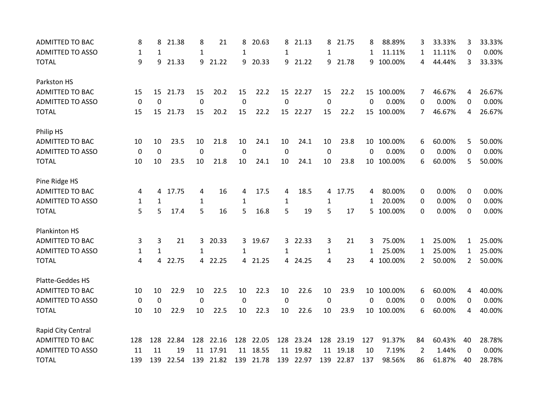| ADMITTED TO BAC         | 8            | 8            | 21.38 | 8            | 21      | 8            | 20.63 | 8           | 21.13   | 8            | 21.75 | 8   | 88.89%     | 3  | 33.33% | 3        | 33.33% |
|-------------------------|--------------|--------------|-------|--------------|---------|--------------|-------|-------------|---------|--------------|-------|-----|------------|----|--------|----------|--------|
| <b>ADMITTED TO ASSO</b> | 1            | 1            |       | $\mathbf{1}$ |         | 1            |       | 1           |         | 1            |       | 1   | 11.11%     | 1  | 11.11% | 0        | 0.00%  |
| <b>TOTAL</b>            | 9            | 9            | 21.33 | 9            | 21.22   | 9            | 20.33 | 9           | 21.22   | 9            | 21.78 | 9   | 100.00%    | 4  | 44.44% | 3        | 33.33% |
| Parkston HS             |              |              |       |              |         |              |       |             |         |              |       |     |            |    |        |          |        |
| <b>ADMITTED TO BAC</b>  | 15           | 15           | 21.73 | 15           | 20.2    | 15           | 22.2  | 15          | 22.27   | 15           | 22.2  |     | 15 100.00% | 7  | 46.67% | 4        | 26.67% |
| <b>ADMITTED TO ASSO</b> | $\mathbf 0$  | $\mathbf 0$  |       | $\mathbf 0$  |         | $\mathbf 0$  |       | 0           |         | $\Omega$     |       | 0   | 0.00%      | 0  | 0.00%  | $\Omega$ | 0.00%  |
| <b>TOTAL</b>            | 15           | 15           | 21.73 | 15           | 20.2    | 15           | 22.2  | 15          | 22.27   | 15           | 22.2  | 15  | 100.00%    | 7  | 46.67% | 4        | 26.67% |
| Philip HS               |              |              |       |              |         |              |       |             |         |              |       |     |            |    |        |          |        |
| ADMITTED TO BAC         | 10           | 10           | 23.5  | 10           | 21.8    | 10           | 24.1  | 10          | 24.1    | 10           | 23.8  | 10  | 100.00%    | 6  | 60.00% | 5        | 50.00% |
| <b>ADMITTED TO ASSO</b> | 0            | $\pmb{0}$    |       | 0            |         | 0            |       | 0           |         | 0            |       | 0   | 0.00%      | 0  | 0.00%  | 0        | 0.00%  |
| <b>TOTAL</b>            | 10           | 10           | 23.5  | 10           | 21.8    | 10           | 24.1  | 10          | 24.1    | 10           | 23.8  |     | 10 100.00% | 6  | 60.00% | 5        | 50.00% |
| Pine Ridge HS           |              |              |       |              |         |              |       |             |         |              |       |     |            |    |        |          |        |
| ADMITTED TO BAC         | 4            | 4            | 17.75 | 4            | 16      | 4            | 17.5  | 4           | 18.5    | 4            | 17.75 | 4   | 80.00%     | 0  | 0.00%  | 0        | 0.00%  |
| <b>ADMITTED TO ASSO</b> | 1            | 1            |       | 1            |         | $\mathbf{1}$ |       | 1           |         | 1            |       | 1   | 20.00%     | 0  | 0.00%  | 0        | 0.00%  |
| <b>TOTAL</b>            | 5            | 5            | 17.4  | 5            | 16      | 5            | 16.8  | 5           | 19      | 5            | 17    | 5   | 100.00%    | 0  | 0.00%  | 0        | 0.00%  |
| Plankinton HS           |              |              |       |              |         |              |       |             |         |              |       |     |            |    |        |          |        |
| <b>ADMITTED TO BAC</b>  | 3            | 3            | 21    |              | 3 20.33 | 3.           | 19.67 |             | 3 22.33 | 3            | 21    | 3   | 75.00%     | 1  | 25.00% | 1        | 25.00% |
| <b>ADMITTED TO ASSO</b> | $\mathbf{1}$ | $\mathbf{1}$ |       | $\mathbf{1}$ |         | $\mathbf{1}$ |       | 1           |         | $\mathbf{1}$ |       | 1   | 25.00%     | 1  | 25.00% | 1        | 25.00% |
| <b>TOTAL</b>            | 4            | 4            | 22.75 |              | 4 22.25 | 4            | 21.25 |             | 4 24.25 | 4            | 23    | 4   | 100.00%    | 2  | 50.00% | 2        | 50.00% |
| Platte-Geddes HS        |              |              |       |              |         |              |       |             |         |              |       |     |            |    |        |          |        |
| <b>ADMITTED TO BAC</b>  | 10           | 10           | 22.9  | 10           | 22.5    | 10           | 22.3  | 10          | 22.6    | 10           | 23.9  | 10  | 100.00%    | 6  | 60.00% | 4        | 40.00% |
| <b>ADMITTED TO ASSO</b> | 0            | 0            |       | $\mathbf 0$  |         | 0            |       | $\mathbf 0$ |         | 0            |       | 0   | 0.00%      | 0  | 0.00%  | 0        | 0.00%  |
| <b>TOTAL</b>            | 10           | 10           | 22.9  | 10           | 22.5    | 10           | 22.3  | 10          | 22.6    | 10           | 23.9  |     | 10 100.00% | 6  | 60.00% | 4        | 40.00% |
| Rapid City Central      |              |              |       |              |         |              |       |             |         |              |       |     |            |    |        |          |        |
| <b>ADMITTED TO BAC</b>  | 128          | 128          | 22.84 | 128          | 22.16   | 128          | 22.05 | 128         | 23.24   | 128          | 23.19 | 127 | 91.37%     | 84 | 60.43% | 40       | 28.78% |
| <b>ADMITTED TO ASSO</b> | 11           | 11           | 19    | 11           | 17.91   | 11           | 18.55 | 11          | 19.82   | 11           | 19.18 | 10  | 7.19%      | 2  | 1.44%  | 0        | 0.00%  |
| <b>TOTAL</b>            | 139          | 139          | 22.54 | 139          | 21.82   | 139          | 21.78 | 139         | 22.97   | 139          | 22.87 | 137 | 98.56%     | 86 | 61.87% | 40       | 28.78% |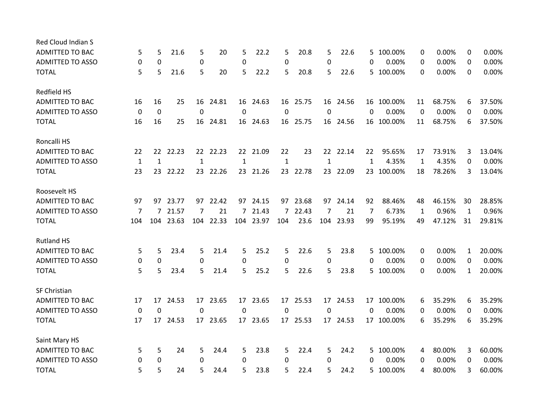| Red Cloud Indian S      |              |                 |          |                |           |                |           |                |          |                  |           |    |            |              |        |              |        |
|-------------------------|--------------|-----------------|----------|----------------|-----------|----------------|-----------|----------------|----------|------------------|-----------|----|------------|--------------|--------|--------------|--------|
| <b>ADMITTED TO BAC</b>  | 5            | 5               | 21.6     | 5              | 20        | 5              | 22.2      | 5              | 20.8     | 5                | 22.6      | 5. | 100.00%    | 0            | 0.00%  | 0            | 0.00%  |
| <b>ADMITTED TO ASSO</b> | 0            | 0               |          | $\pmb{0}$      |           | 0              |           | 0              |          | 0                |           | 0  | 0.00%      | 0            | 0.00%  | $\Omega$     | 0.00%  |
| <b>TOTAL</b>            | 5            | 5               | 21.6     | 5              | 20        | 5              | 22.2      | 5              | 20.8     | 5.               | 22.6      |    | 5 100.00%  | $\Omega$     | 0.00%  | $\Omega$     | 0.00%  |
| Redfield HS             |              |                 |          |                |           |                |           |                |          |                  |           |    |            |              |        |              |        |
| <b>ADMITTED TO BAC</b>  | 16           | 16              | 25       | 16             | 24.81     | 16             | 24.63     | 16             | 25.75    |                  | 16 24.56  |    | 16 100.00% | 11           | 68.75% | 6            | 37.50% |
| <b>ADMITTED TO ASSO</b> | 0            | $\mathbf 0$     |          | $\mathbf 0$    |           | 0              |           | $\mathbf 0$    |          | $\boldsymbol{0}$ |           | 0  | 0.00%      | 0            | 0.00%  | 0            | 0.00%  |
| <b>TOTAL</b>            | 16           | 16              | 25       | 16             | 24.81     | 16             | 24.63     |                | 16 25.75 |                  | 16 24.56  |    | 16 100.00% | 11           | 68.75% | 6            | 37.50% |
| Roncalli HS             |              |                 |          |                |           |                |           |                |          |                  |           |    |            |              |        |              |        |
| <b>ADMITTED TO BAC</b>  | 22           | 22              | 22.23    |                | 22 22.23  | 22             | 21.09     | 22             | 23       |                  | 22 22.14  | 22 | 95.65%     | 17           | 73.91% | 3            | 13.04% |
| <b>ADMITTED TO ASSO</b> | $\mathbf{1}$ | $\mathbf{1}$    |          | $\mathbf{1}$   |           | $\mathbf{1}$   |           | $\mathbf{1}$   |          | 1                |           | 1  | 4.35%      | $\mathbf{1}$ | 4.35%  | 0            | 0.00%  |
| <b>TOTAL</b>            | 23           |                 | 23 22.22 |                | 23 22.26  |                | 23 21.26  |                | 23 22.78 |                  | 23 22.09  |    | 23 100.00% | 18           | 78.26% | 3            | 13.04% |
| Roosevelt HS            |              |                 |          |                |           |                |           |                |          |                  |           |    |            |              |        |              |        |
| <b>ADMITTED TO BAC</b>  | 97           | 97              | 23.77    | 97             | 22.42     | 97             | 24.15     |                | 97 23.68 | 97               | 24.14     | 92 | 88.46%     | 48           | 46.15% | 30           | 28.85% |
| <b>ADMITTED TO ASSO</b> | 7            | $7\overline{ }$ | 21.57    | $\overline{7}$ | 21        | $\overline{7}$ | 21.43     | $\overline{7}$ | 22.43    | $\overline{7}$   | 21        | 7  | 6.73%      | 1            | 0.96%  | $\mathbf{1}$ | 0.96%  |
| <b>TOTAL</b>            | 104          | 104             | 23.63    |                | 104 22.33 |                | 104 23.97 | 104            | 23.6     |                  | 104 23.93 | 99 | 95.19%     | 49           | 47.12% | 31           | 29.81% |
| <b>Rutland HS</b>       |              |                 |          |                |           |                |           |                |          |                  |           |    |            |              |        |              |        |
| <b>ADMITTED TO BAC</b>  | 5            | 5               | 23.4     | 5              | 21.4      | 5              | 25.2      | 5              | 22.6     | 5                | 23.8      | 5  | 100.00%    | 0            | 0.00%  | 1            | 20.00% |
| <b>ADMITTED TO ASSO</b> | 0            | 0               |          | 0              |           | 0              |           | $\mathbf 0$    |          | 0                |           | 0  | 0.00%      | 0            | 0.00%  | 0            | 0.00%  |
| <b>TOTAL</b>            | 5            | 5               | 23.4     | 5              | 21.4      | 5              | 25.2      | 5              | 22.6     | 5                | 23.8      |    | 5 100.00%  | 0            | 0.00%  | 1            | 20.00% |
| SF Christian            |              |                 |          |                |           |                |           |                |          |                  |           |    |            |              |        |              |        |
| <b>ADMITTED TO BAC</b>  | 17           | 17              | 24.53    | 17             | 23.65     | 17             | 23.65     | 17             | 25.53    | 17               | 24.53     | 17 | 100.00%    | 6            | 35.29% | 6            | 35.29% |
| <b>ADMITTED TO ASSO</b> | 0            | $\mathbf 0$     |          | 0              |           | 0              |           | 0              |          | $\mathbf 0$      |           | 0  | 0.00%      | 0            | 0.00%  | 0            | 0.00%  |
| <b>TOTAL</b>            | 17           | 17              | 24.53    |                | 17 23.65  | 17             | 23.65     |                | 17 25.53 |                  | 17 24.53  |    | 17 100.00% | 6            | 35.29% | 6            | 35.29% |
| Saint Mary HS           |              |                 |          |                |           |                |           |                |          |                  |           |    |            |              |        |              |        |
| <b>ADMITTED TO BAC</b>  | 5            | 5               | 24       | 5              | 24.4      | 5              | 23.8      | 5              | 22.4     | 5                | 24.2      | 5. | 100.00%    | 4            | 80.00% | 3            | 60.00% |
| <b>ADMITTED TO ASSO</b> | 0            | 0               |          | $\pmb{0}$      |           | 0              |           | 0              |          | $\Omega$         |           | 0  | 0.00%      | 0            | 0.00%  | 0            | 0.00%  |
| <b>TOTAL</b>            | 5            | 5               | 24       | 5.             | 24.4      | 5              | 23.8      | 5              | 22.4     | 5.               | 24.2      |    | 5 100.00%  | 4            | 80.00% | 3            | 60.00% |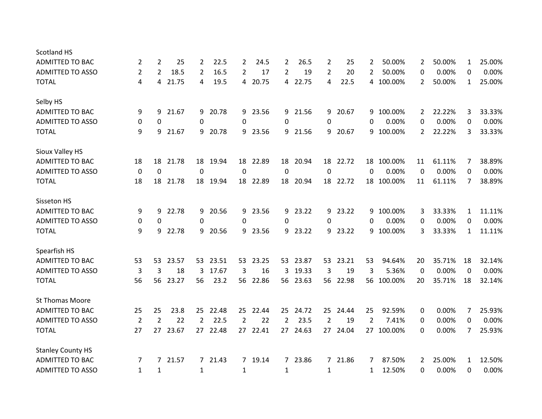| <b>Scotland HS</b>       |                |                |       |                |          |                |          |                |          |                |          |                |            |             |        |              |        |
|--------------------------|----------------|----------------|-------|----------------|----------|----------------|----------|----------------|----------|----------------|----------|----------------|------------|-------------|--------|--------------|--------|
| <b>ADMITTED TO BAC</b>   | 2              | $\overline{2}$ | 25    | $\overline{2}$ | 22.5     | $\overline{2}$ | 24.5     | $\mathbf{2}$   | 26.5     | 2              | 25       | 2              | 50.00%     | 2           | 50.00% | 1            | 25.00% |
| <b>ADMITTED TO ASSO</b>  | $\overline{2}$ | $\overline{2}$ | 18.5  | 2              | 16.5     | 2              | 17       | $\overline{2}$ | 19       | 2              | 20       | 2              | 50.00%     | 0           | 0.00%  | 0            | 0.00%  |
| <b>TOTAL</b>             | 4              | 4              | 21.75 | 4              | 19.5     | 4              | 20.75    | 4              | 22.75    | 4              | 22.5     |                | 4 100.00%  | 2           | 50.00% | 1            | 25.00% |
| Selby HS                 |                |                |       |                |          |                |          |                |          |                |          |                |            |             |        |              |        |
| <b>ADMITTED TO BAC</b>   | 9              | 9              | 21.67 | 9              | 20.78    | 9              | 23.56    | 9              | 21.56    | 9              | 20.67    | 9              | 100.00%    | 2           | 22.22% | 3            | 33.33% |
| <b>ADMITTED TO ASSO</b>  | 0              | 0              |       | 0              |          | 0              |          | 0              |          | 0              |          | 0              | 0.00%      | 0           | 0.00%  | 0            | 0.00%  |
| <b>TOTAL</b>             | 9              | 9              | 21.67 | 9              | 20.78    | 9              | 23.56    | 9              | 21.56    | 9              | 20.67    | 9              | 100.00%    | 2           | 22.22% | 3            | 33.33% |
| Sioux Valley HS          |                |                |       |                |          |                |          |                |          |                |          |                |            |             |        |              |        |
| ADMITTED TO BAC          | 18             | 18             | 21.78 | 18             | 19.94    | 18             | 22.89    | 18             | 20.94    | 18             | 22.72    |                | 18 100.00% | 11          | 61.11% | 7            | 38.89% |
| <b>ADMITTED TO ASSO</b>  | 0              | 0              |       | $\mathbf 0$    |          | 0              |          | 0              |          | 0              |          | 0              | 0.00%      | 0           | 0.00%  | 0            | 0.00%  |
| <b>TOTAL</b>             | 18             | 18             | 21.78 | 18             | 19.94    | 18             | 22.89    | 18             | 20.94    | 18             | 22.72    |                | 18 100.00% | 11          | 61.11% | 7            | 38.89% |
| Sisseton HS              |                |                |       |                |          |                |          |                |          |                |          |                |            |             |        |              |        |
| <b>ADMITTED TO BAC</b>   | 9              | 9              | 22.78 | 9.             | 20.56    | 9              | 23.56    | 9              | 23.22    | 9              | 23.22    | 9              | 100.00%    | 3           | 33.33% | $\mathbf{1}$ | 11.11% |
| <b>ADMITTED TO ASSO</b>  | 0              | 0              |       | 0              |          | 0              |          | 0              |          | 0              |          | 0              | 0.00%      | 0           | 0.00%  | 0            | 0.00%  |
| <b>TOTAL</b>             | 9              | 9              | 22.78 | 9              | 20.56    | 9              | 23.56    | 9              | 23.22    | 9.             | 23.22    | 9              | 100.00%    | 3           | 33.33% | $\mathbf{1}$ | 11.11% |
| Spearfish HS             |                |                |       |                |          |                |          |                |          |                |          |                |            |             |        |              |        |
| <b>ADMITTED TO BAC</b>   | 53             | 53             | 23.57 |                | 53 23.51 | 53             | 23.25    |                | 53 23.87 |                | 53 23.21 | 53             | 94.64%     | 20          | 35.71% | 18           | 32.14% |
| <b>ADMITTED TO ASSO</b>  | 3              | 3              | 18    | 3              | 17.67    | 3              | 16       | 3              | 19.33    | 3              | 19       | 3              | 5.36%      | $\mathbf 0$ | 0.00%  | 0            | 0.00%  |
| <b>TOTAL</b>             | 56             | 56             | 23.27 | 56             | 23.2     |                | 56 22.86 | 56             | 23.63    |                | 56 22.98 |                | 56 100.00% | 20          | 35.71% | 18           | 32.14% |
| <b>St Thomas Moore</b>   |                |                |       |                |          |                |          |                |          |                |          |                |            |             |        |              |        |
| <b>ADMITTED TO BAC</b>   | 25             | 25             | 23.8  | 25             | 22.48    | 25             | 22.44    | 25             | 24.72    | 25             | 24.44    | 25             | 92.59%     | 0           | 0.00%  | 7            | 25.93% |
| <b>ADMITTED TO ASSO</b>  | $\overline{2}$ | 2              | 22    | $\overline{2}$ | 22.5     | $\overline{2}$ | 22       | $\overline{2}$ | 23.5     | $\overline{2}$ | 19       | $\overline{2}$ | 7.41%      | 0           | 0.00%  | $\Omega$     | 0.00%  |
| <b>TOTAL</b>             | 27             | 27             | 23.67 |                | 27 22.48 | 27             | 22.41    | 27             | 24.63    |                | 27 24.04 |                | 27 100.00% | 0           | 0.00%  | 7            | 25.93% |
| <b>Stanley County HS</b> |                |                |       |                |          |                |          |                |          |                |          |                |            |             |        |              |        |
| <b>ADMITTED TO BAC</b>   | 7              | $7^{\circ}$    | 21.57 |                | 7 21.43  |                | 7 19.14  |                | 7 23.86  |                | 7 21.86  | 7              | 87.50%     | 2           | 25.00% | 1            | 12.50% |
| <b>ADMITTED TO ASSO</b>  | $\mathbf{1}$   | 1              |       | 1              |          | 1              |          | 1              |          | 1              |          | 1              | 12.50%     | 0           | 0.00%  | 0            | 0.00%  |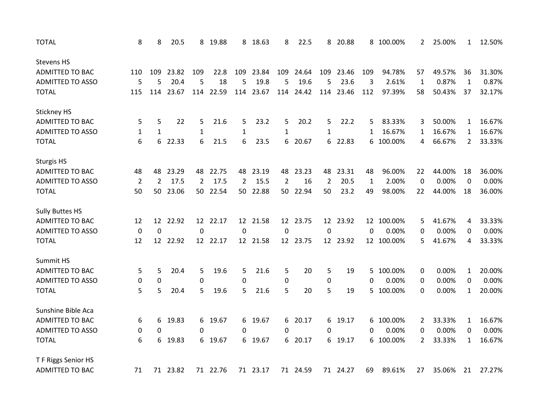| <b>TOTAL</b>            | 8              | 8              | 20.5     |                | 8 19.88  | 8              | 18.63    | 8               | 22.5     | 8              | 20.88    |              | 8 100.00%  | 2                | 25.00% | $\mathbf{1}$ | 12.50% |
|-------------------------|----------------|----------------|----------|----------------|----------|----------------|----------|-----------------|----------|----------------|----------|--------------|------------|------------------|--------|--------------|--------|
| <b>Stevens HS</b>       |                |                |          |                |          |                |          |                 |          |                |          |              |            |                  |        |              |        |
| <b>ADMITTED TO BAC</b>  | 110            | 109            | 23.82    | 109            | 22.8     | 109            | 23.84    | 109             | 24.64    | 109            | 23.46    | 109          | 94.78%     | 57               | 49.57% | 36           | 31.30% |
| <b>ADMITTED TO ASSO</b> | 5              | 5              | 20.4     | 5              | 18       | 5              | 19.8     | 5               | 19.6     | 5              | 23.6     | 3            | 2.61%      | $\mathbf{1}$     | 0.87%  | $\mathbf{1}$ | 0.87%  |
| <b>TOTAL</b>            | 115            | 114            | 23.67    | 114            | 22.59    | 114            | 23.67    | 114             | 24.42    | 114            | 23.46    | 112          | 97.39%     | 58               | 50.43% | 37           | 32.17% |
| Stickney HS             |                |                |          |                |          |                |          |                 |          |                |          |              |            |                  |        |              |        |
| <b>ADMITTED TO BAC</b>  | 5              | 5              | 22       | 5              | 21.6     | 5              | 23.2     | 5               | 20.2     | 5              | 22.2     | 5            | 83.33%     | 3                | 50.00% | 1            | 16.67% |
| <b>ADMITTED TO ASSO</b> | $\mathbf{1}$   | 1              |          | 1              |          | 1              |          | 1               |          | 1              |          | 1            | 16.67%     | 1                | 16.67% | 1            | 16.67% |
| <b>TOTAL</b>            | 6              | 6              | 22.33    | 6              | $21.5$   | 6              | 23.5     | 6               | 20.67    |                | 6 22.83  | 6            | 100.00%    | 4                | 66.67% | $\mathbf{2}$ | 33.33% |
| <b>Sturgis HS</b>       |                |                |          |                |          |                |          |                 |          |                |          |              |            |                  |        |              |        |
| ADMITTED TO BAC         | 48             | 48             | 23.29    | 48             | 22.75    | 48             | 23.19    | 48              | 23.23    | 48             | 23.31    | 48           | 96.00%     | 22               | 44.00% | 18           | 36.00% |
| <b>ADMITTED TO ASSO</b> | $\overline{2}$ | $\overline{2}$ | 17.5     | $\overline{2}$ | 17.5     | $\overline{2}$ | 15.5     | $\overline{2}$  | 16       | $\overline{2}$ | 20.5     | $\mathbf{1}$ | 2.00%      | $\boldsymbol{0}$ | 0.00%  | $\pmb{0}$    | 0.00%  |
| <b>TOTAL</b>            | 50             | 50             | 23.06    | 50             | 22.54    | 50             | 22.88    | 50              | 22.94    | 50             | 23.2     | 49           | 98.00%     | 22               | 44.00% | 18           | 36.00% |
| <b>Sully Buttes HS</b>  |                |                |          |                |          |                |          |                 |          |                |          |              |            |                  |        |              |        |
| ADMITTED TO BAC         | 12             | 12             | 22.92    |                | 12 22.17 |                | 12 21.58 | 12 <sup>2</sup> | 23.75    |                | 12 23.92 |              | 12 100.00% | 5                | 41.67% | 4            | 33.33% |
| <b>ADMITTED TO ASSO</b> | $\mathbf 0$    | $\mathbf 0$    |          | $\mathbf 0$    |          | $\mathbf 0$    |          | $\mathbf 0$     |          | $\mathbf 0$    |          | 0            | 0.00%      | 0                | 0.00%  | 0            | 0.00%  |
| <b>TOTAL</b>            | 12             |                | 12 22.92 |                | 12 22.17 |                | 12 21.58 |                 | 12 23.75 |                | 12 23.92 |              | 12 100.00% | 5                | 41.67% | 4            | 33.33% |
| Summit HS               |                |                |          |                |          |                |          |                 |          |                |          |              |            |                  |        |              |        |
| <b>ADMITTED TO BAC</b>  | 5              | 5              | 20.4     | 5              | 19.6     | 5              | 21.6     | 5               | 20       | 5              | 19       | 5.           | 100.00%    | 0                | 0.00%  | 1            | 20.00% |
| <b>ADMITTED TO ASSO</b> | 0              | 0              |          | $\pmb{0}$      |          | 0              |          | 0               |          | 0              |          | 0            | 0.00%      | 0                | 0.00%  | 0            | 0.00%  |
| <b>TOTAL</b>            | 5              | 5              | 20.4     | 5              | 19.6     | 5              | 21.6     | 5               | 20       | 5              | 19       | 5            | 100.00%    | 0                | 0.00%  | 1            | 20.00% |
| Sunshine Bible Aca      |                |                |          |                |          |                |          |                 |          |                |          |              |            |                  |        |              |        |
| <b>ADMITTED TO BAC</b>  | 6              | 6              | 19.83    | 6              | 19.67    | 6              | 19.67    | 6.              | 20.17    |                | 6 19.17  | 6            | 100.00%    | 2                | 33.33% | 1            | 16.67% |
| <b>ADMITTED TO ASSO</b> | 0              | 0              |          | $\Omega$       |          | 0              |          | 0               |          | 0              |          | 0            | 0.00%      | 0                | 0.00%  | 0            | 0.00%  |
| <b>TOTAL</b>            | 6              | 6              | 19.83    | 6              | 19.67    | 6              | 19.67    | 6               | 20.17    |                | 6 19.17  | 6            | 100.00%    | $\overline{2}$   | 33.33% | 1            | 16.67% |
| T F Riggs Senior HS     |                |                |          |                |          |                |          |                 |          |                |          |              |            |                  |        |              |        |
| <b>ADMITTED TO BAC</b>  | 71             |                | 71 23.82 |                | 71 22.76 |                | 71 23.17 |                 | 71 24.59 |                | 71 24.27 | 69           | 89.61%     | 27               | 35.06% | 21           | 27.27% |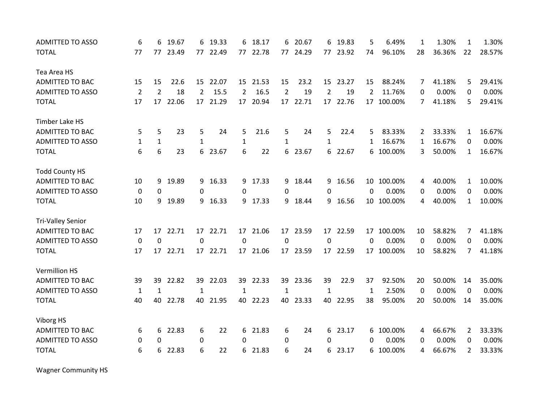| <b>ADMITTED TO ASSO</b> | 6              | 6              | 19.67 |                | 6 19.33  | 6              | 18.17    | 6              | 20.67    | 6              | 19.83    | 5            | 6.49%      | 1  | 1.30%  | $\mathbf{1}$ | 1.30%  |
|-------------------------|----------------|----------------|-------|----------------|----------|----------------|----------|----------------|----------|----------------|----------|--------------|------------|----|--------|--------------|--------|
| <b>TOTAL</b>            | 77             | 77             | 23.49 |                | 77 22.49 | 77             | 22.78    |                | 77 24.29 |                | 77 23.92 | 74           | 96.10%     | 28 | 36.36% | 22           | 28.57% |
| Tea Area HS             |                |                |       |                |          |                |          |                |          |                |          |              |            |    |        |              |        |
| <b>ADMITTED TO BAC</b>  | 15             | 15             | 22.6  |                | 15 22.07 |                | 15 21.53 | 15             | 23.2     |                | 15 23.27 | 15           | 88.24%     | 7  | 41.18% | 5            | 29.41% |
| <b>ADMITTED TO ASSO</b> | $\overline{2}$ | $\overline{2}$ | 18    | $\overline{2}$ | 15.5     | $\overline{2}$ | 16.5     | $\overline{2}$ | 19       | $\overline{2}$ | 19       | 2            | 11.76%     | 0  | 0.00%  | 0            | 0.00%  |
| <b>TOTAL</b>            | 17             | 17             | 22.06 | 17             | 21.29    | 17             | 20.94    | 17             | 22.71    | 17             | 22.76    | 17           | 100.00%    | 7  | 41.18% | 5            | 29.41% |
| Timber Lake HS          |                |                |       |                |          |                |          |                |          |                |          |              |            |    |        |              |        |
| ADMITTED TO BAC         | 5              | 5              | 23    | 5              | 24       | 5              | 21.6     | 5              | 24       | 5              | 22.4     | 5            | 83.33%     | 2  | 33.33% | 1            | 16.67% |
| <b>ADMITTED TO ASSO</b> | 1              | $\mathbf{1}$   |       | $\mathbf{1}$   |          | $\mathbf{1}$   |          | $\mathbf{1}$   |          | $\mathbf{1}$   |          | $\mathbf{1}$ | 16.67%     | 1  | 16.67% | 0            | 0.00%  |
| <b>TOTAL</b>            | 6              | 6              | 23    | 6              | 23.67    | 6              | 22       | 6              | 23.67    | 6              | 22.67    | 6            | 100.00%    | 3  | 50.00% | $\mathbf{1}$ | 16.67% |
| <b>Todd County HS</b>   |                |                |       |                |          |                |          |                |          |                |          |              |            |    |        |              |        |
| <b>ADMITTED TO BAC</b>  | 10             | 9              | 19.89 |                | 9 16.33  | 9              | 17.33    | 9.             | 18.44    |                | 9 16.56  | 10           | 100.00%    | 4  | 40.00% | $\mathbf{1}$ | 10.00% |
| <b>ADMITTED TO ASSO</b> | 0              | $\mathbf 0$    |       | 0              |          | $\Omega$       |          | 0              |          | 0              |          | 0            | 0.00%      | 0  | 0.00%  | 0            | 0.00%  |
| <b>TOTAL</b>            | 10             | 9              | 19.89 |                | 9 16.33  | 9              | 17.33    | 9              | 18.44    | 9              | 16.56    |              | 10 100.00% | 4  | 40.00% | $\mathbf{1}$ | 10.00% |
| Tri-Valley Senior       |                |                |       |                |          |                |          |                |          |                |          |              |            |    |        |              |        |
| <b>ADMITTED TO BAC</b>  | 17             | 17             | 22.71 |                | 17 22.71 | 17             | 21.06    |                | 17 23.59 |                | 17 22.59 |              | 17 100.00% | 10 | 58.82% | 7            | 41.18% |
| <b>ADMITTED TO ASSO</b> | $\mathbf 0$    | 0              |       | $\Omega$       |          | 0              |          | $\Omega$       |          | $\Omega$       |          | 0            | 0.00%      | 0  | 0.00%  | 0            | 0.00%  |
| <b>TOTAL</b>            | 17             | 17             | 22.71 |                | 17 22.71 | 17             | 21.06    | 17             | 23.59    | 17             | 22.59    | 17           | 100.00%    | 10 | 58.82% | 7            | 41.18% |
| <b>Vermillion HS</b>    |                |                |       |                |          |                |          |                |          |                |          |              |            |    |        |              |        |
| <b>ADMITTED TO BAC</b>  | 39             | 39             | 22.82 | 39             | 22.03    | 39             | 22.33    | 39             | 23.36    | 39             | 22.9     | 37           | 92.50%     | 20 | 50.00% | 14           | 35.00% |
| <b>ADMITTED TO ASSO</b> | 1              | $\mathbf{1}$   |       | 1              |          | 1              |          | 1              |          | 1              |          | 1            | 2.50%      | 0  | 0.00%  | $\Omega$     | 0.00%  |
| <b>TOTAL</b>            | 40             | 40             | 22.78 |                | 40 21.95 |                | 40 22.23 |                | 40 23.33 |                | 40 22.95 | 38           | 95.00%     | 20 | 50.00% | 14           | 35.00% |
| Viborg HS               |                |                |       |                |          |                |          |                |          |                |          |              |            |    |        |              |        |
| <b>ADMITTED TO BAC</b>  | 6              | 6              | 22.83 | 6              | 22       | 6              | 21.83    | 6              | 24       | 6              | 23.17    | 6            | 100.00%    | 4  | 66.67% | 2            | 33.33% |
| <b>ADMITTED TO ASSO</b> | 0              | $\Omega$       |       | 0              |          | $\Omega$       |          | 0              |          | $\Omega$       |          | 0            | 0.00%      | 0  | 0.00%  | 0            | 0.00%  |
| <b>TOTAL</b>            | 6              | 6              | 22.83 | 6              | 22       | 6              | 21.83    | 6              | 24       | 6              | 23.17    | 6            | 100.00%    | 4  | 66.67% | $\mathbf{2}$ | 33.33% |

Wagner Community HS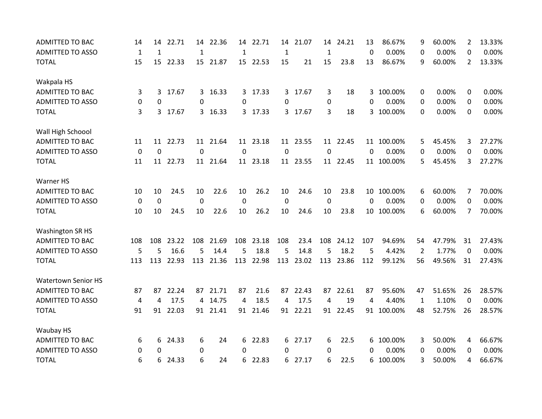| <b>ADMITTED TO BAC</b>     | 14           | 14           | 22.71    | 14           | 22.36    | 14           | 22.71     | 14          | 21.07    | 14           | 24.21    | 13       | 86.67%     | 9              | 60.00% | 2              | 13.33% |
|----------------------------|--------------|--------------|----------|--------------|----------|--------------|-----------|-------------|----------|--------------|----------|----------|------------|----------------|--------|----------------|--------|
| <b>ADMITTED TO ASSO</b>    | $\mathbf{1}$ | $\mathbf{1}$ |          | $\mathbf{1}$ |          | $\mathbf{1}$ |           | 1           |          | $\mathbf{1}$ |          | $\Omega$ | 0.00%      | 0              | 0.00%  | 0              | 0.00%  |
| <b>TOTAL</b>               | 15           | 15           | 22.33    |              | 15 21.87 |              | 15 22.53  | 15          | 21       | 15           | 23.8     | 13       | 86.67%     | 9              | 60.00% | $\overline{2}$ | 13.33% |
| Wakpala HS                 |              |              |          |              |          |              |           |             |          |              |          |          |            |                |        |                |        |
| <b>ADMITTED TO BAC</b>     | 3            | 3            | 17.67    |              | 3 16.33  |              | 3 17.33   |             | 3 17.67  | 3            | 18       |          | 3 100.00%  | 0              | 0.00%  | 0              | 0.00%  |
| <b>ADMITTED TO ASSO</b>    | 0            | 0            |          | 0            |          | 0            |           | 0           |          | 0            |          | $\Omega$ | 0.00%      | 0              | 0.00%  | 0              | 0.00%  |
| <b>TOTAL</b>               | 3            | 3            | 17.67    |              | 3 16.33  | 3            | 17.33     |             | 3 17.67  | 3            | 18       | 3        | 100.00%    | $\Omega$       | 0.00%  | 0              | 0.00%  |
| Wall High Schoool          |              |              |          |              |          |              |           |             |          |              |          |          |            |                |        |                |        |
| <b>ADMITTED TO BAC</b>     | 11           | 11           | 22.73    |              | 11 21.64 |              | 11 23.18  |             | 11 23.55 |              | 11 22.45 |          | 11 100.00% | 5              | 45.45% | 3              | 27.27% |
| <b>ADMITTED TO ASSO</b>    | $\mathbf 0$  | $\mathbf 0$  |          | $\mathbf 0$  |          | $\mathbf 0$  |           | $\mathbf 0$ |          | $\mathbf 0$  |          | 0        | 0.00%      | 0              | 0.00%  | 0              | 0.00%  |
| <b>TOTAL</b>               | 11           |              | 11 22.73 |              | 11 21.64 |              | 11 23.18  |             | 11 23.55 |              | 11 22.45 |          | 11 100.00% | 5              | 45.45% | 3              | 27.27% |
| Warner HS                  |              |              |          |              |          |              |           |             |          |              |          |          |            |                |        |                |        |
| <b>ADMITTED TO BAC</b>     | 10           | 10           | 24.5     | 10           | 22.6     | 10           | 26.2      | 10          | 24.6     | 10           | 23.8     |          | 10 100.00% | 6              | 60.00% | 7              | 70.00% |
| <b>ADMITTED TO ASSO</b>    | $\mathbf 0$  | $\mathbf 0$  |          | $\mathbf 0$  |          | 0            |           | $\mathbf 0$ |          | 0            |          | $\Omega$ | 0.00%      | 0              | 0.00%  | 0              | 0.00%  |
| <b>TOTAL</b>               | 10           | 10           | 24.5     | 10           | 22.6     | 10           | 26.2      | 10          | 24.6     | 10           | 23.8     |          | 10 100.00% | 6              | 60.00% | 7              | 70.00% |
| <b>Washington SR HS</b>    |              |              |          |              |          |              |           |             |          |              |          |          |            |                |        |                |        |
| <b>ADMITTED TO BAC</b>     | 108          | 108          | 23.22    | 108          | 21.69    | 108          | 23.18     | 108         | 23.4     | 108          | 24.12    | 107      | 94.69%     | 54             | 47.79% | 31             | 27.43% |
| <b>ADMITTED TO ASSO</b>    | 5            | 5            | 16.6     | 5            | 14.4     | 5            | 18.8      | 5           | 14.8     | 5            | 18.2     | 5        | 4.42%      | $\overline{2}$ | 1.77%  | 0              | 0.00%  |
| <b>TOTAL</b>               | 113          | 113          | 22.93    | 113          | 21.36    |              | 113 22.98 | 113         | 23.02    | 113          | 23.86    | 112      | 99.12%     | 56             | 49.56% | 31             | 27.43% |
| <b>Watertown Senior HS</b> |              |              |          |              |          |              |           |             |          |              |          |          |            |                |        |                |        |
| <b>ADMITTED TO BAC</b>     | 87           | 87           | 22.24    |              | 87 21.71 | 87           | 21.6      | 87          | 22.43    | 87           | 22.61    | 87       | 95.60%     | 47             | 51.65% | 26             | 28.57% |
| <b>ADMITTED TO ASSO</b>    | 4            | 4            | 17.5     |              | 4 14.75  | 4            | 18.5      | 4           | 17.5     | 4            | 19       | 4        | 4.40%      | 1              | 1.10%  | $\mathbf{0}$   | 0.00%  |
| <b>TOTAL</b>               | 91           | 91           | 22.03    |              | 91 21.41 |              | 91 21.46  |             | 91 22.21 |              | 91 22.45 |          | 91 100.00% | 48             | 52.75% | 26             | 28.57% |
| Waubay HS                  |              |              |          |              |          |              |           |             |          |              |          |          |            |                |        |                |        |
| <b>ADMITTED TO BAC</b>     | 6            | 6            | 24.33    | 6            | 24       | 6            | 22.83     | 6.          | 27.17    | 6            | 22.5     | 6        | 100.00%    | 3              | 50.00% | 4              | 66.67% |
| <b>ADMITTED TO ASSO</b>    | 0            | $\Omega$     |          | 0            |          | $\Omega$     |           | 0           |          | 0            |          | 0        | 0.00%      | 0              | 0.00%  | $\Omega$       | 0.00%  |
| <b>TOTAL</b>               | 6            | 6            | 24.33    | 6            | 24       | 6            | 22.83     | 6.          | 27.17    | 6            | 22.5     | 6        | 100.00%    | 3              | 50.00% | 4              | 66.67% |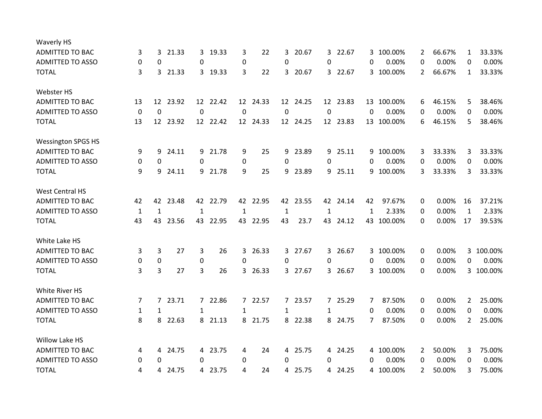| Waverly HS                |              |              |          |             |          |                |          |                |          |                |          |              |            |                |        |              |           |
|---------------------------|--------------|--------------|----------|-------------|----------|----------------|----------|----------------|----------|----------------|----------|--------------|------------|----------------|--------|--------------|-----------|
| <b>ADMITTED TO BAC</b>    | 3            | 3            | 21.33    | 3           | 19.33    | 3              | 22       | 3              | 20.67    | 3              | 22.67    | 3.           | 100.00%    | 2              | 66.67% | $\mathbf{1}$ | 33.33%    |
| <b>ADMITTED TO ASSO</b>   | 0            | $\Omega$     |          | 0           |          | 0              |          | 0              |          | 0              |          | 0            | 0.00%      | 0              | 0.00%  | $\Omega$     | 0.00%     |
| <b>TOTAL</b>              | 3            |              | 3 21.33  |             | 3 19.33  | 3              | 22       |                | 3 20.67  |                | 3 22.67  |              | 3 100.00%  | $\overline{2}$ | 66.67% | $\mathbf{1}$ | 33.33%    |
| Webster HS                |              |              |          |             |          |                |          |                |          |                |          |              |            |                |        |              |           |
| <b>ADMITTED TO BAC</b>    | 13           | 12           | 23.92    |             | 12 22.42 |                | 12 24.33 |                | 12 24.25 |                | 12 23.83 |              | 13 100.00% | 6              | 46.15% | 5            | 38.46%    |
| <b>ADMITTED TO ASSO</b>   | $\mathbf 0$  | 0            |          | $\mathbf 0$ |          | 0              |          | 0              |          | 0              |          | 0            | 0.00%      | 0              | 0.00%  | 0            | 0.00%     |
| <b>TOTAL</b>              | 13           |              | 12 23.92 |             | 12 22.42 |                | 12 24.33 |                | 12 24.25 |                | 12 23.83 |              | 13 100.00% | 6              | 46.15% | 5            | 38.46%    |
| <b>Wessington SPGS HS</b> |              |              |          |             |          |                |          |                |          |                |          |              |            |                |        |              |           |
| <b>ADMITTED TO BAC</b>    | 9            | 9            | 24.11    |             | 9 21.78  | 9              | 25       | 9              | 23.89    | 9              | 25.11    | 9            | 100.00%    | 3              | 33.33% | 3            | 33.33%    |
| <b>ADMITTED TO ASSO</b>   | 0            | 0            |          | 0           |          | 0              |          | 0              |          | $\Omega$       |          | 0            | 0.00%      | 0              | 0.00%  | $\Omega$     | 0.00%     |
| <b>TOTAL</b>              | 9            | 9            | 24.11    |             | 9 21.78  | 9              | 25       | 9              | 23.89    |                | 9 25.11  |              | 9 100.00%  | 3              | 33.33% | 3            | 33.33%    |
| <b>West Central HS</b>    |              |              |          |             |          |                |          |                |          |                |          |              |            |                |        |              |           |
| ADMITTED TO BAC           | 42           | 42           | 23.48    |             | 42 22.79 | 42             | 22.95    | 42             | 23.55    |                | 42 24.14 | 42           | 97.67%     | 0              | 0.00%  | 16           | 37.21%    |
| <b>ADMITTED TO ASSO</b>   | 1            | 1            |          | 1           |          | 1              |          | 1              |          | 1              |          | $\mathbf{1}$ | 2.33%      | 0              | 0.00%  | 1            | 2.33%     |
| <b>TOTAL</b>              | 43           | 43           | 23.56    |             | 43 22.95 |                | 43 22.95 | 43             | 23.7     |                | 43 24.12 |              | 43 100.00% | 0              | 0.00%  | 17           | 39.53%    |
| White Lake HS             |              |              |          |             |          |                |          |                |          |                |          |              |            |                |        |              |           |
| <b>ADMITTED TO BAC</b>    | 3            | 3            | 27       | 3           | 26       | 3              | 26.33    | 3 <sup>1</sup> | 27.67    | 3 <sup>1</sup> | 26.67    |              | 3 100.00%  | 0              | 0.00%  | 3            | 100.00%   |
| <b>ADMITTED TO ASSO</b>   | 0            | $\mathbf 0$  |          | 0           |          | $\Omega$       |          | $\Omega$       |          | $\Omega$       |          | 0            | 0.00%      | 0              | 0.00%  | 0            | 0.00%     |
| <b>TOTAL</b>              | 3            | 3            | 27       | 3           | 26       | 3              | 26.33    |                | 3 27.67  |                | 3 26.67  |              | 3 100.00%  | 0              | 0.00%  |              | 3 100.00% |
| White River HS            |              |              |          |             |          |                |          |                |          |                |          |              |            |                |        |              |           |
| ADMITTED TO BAC           | 7            | $7^{\circ}$  | 23.71    |             | 7 22.86  | $\overline{7}$ | 22.57    |                | 7 23.57  |                | 7 25.29  | 7            | 87.50%     | 0              | 0.00%  | 2            | 25.00%    |
| <b>ADMITTED TO ASSO</b>   | $\mathbf{1}$ | $\mathbf{1}$ |          | 1           |          | $\mathbf{1}$   |          | 1              |          | $\mathbf{1}$   |          | 0            | 0.00%      | 0              | 0.00%  | 0            | 0.00%     |
| <b>TOTAL</b>              | 8            | 8            | 22.63    | 8           | 21.13    | 8              | 21.75    |                | 8 22.38  |                | 8 24.75  | 7            | 87.50%     | $\Omega$       | 0.00%  | 2            | 25.00%    |
| Willow Lake HS            |              |              |          |             |          |                |          |                |          |                |          |              |            |                |        |              |           |
| <b>ADMITTED TO BAC</b>    | 4            | 4            | 24.75    |             | 4 23.75  | 4              | 24       |                | 4 25.75  |                | 4 24.25  |              | 4 100.00%  | 2              | 50.00% | 3            | 75.00%    |
| <b>ADMITTED TO ASSO</b>   | 0            | 0            |          | 0           |          | 0              |          | 0              |          | 0              |          | 0            | 0.00%      | 0              | 0.00%  | 0            | 0.00%     |
| <b>TOTAL</b>              | 4            | 4            | 24.75    |             | 4 23.75  | 4              | 24       |                | 4 25.75  |                | 4 24.25  |              | 4 100.00%  | 2              | 50.00% | 3            | 75.00%    |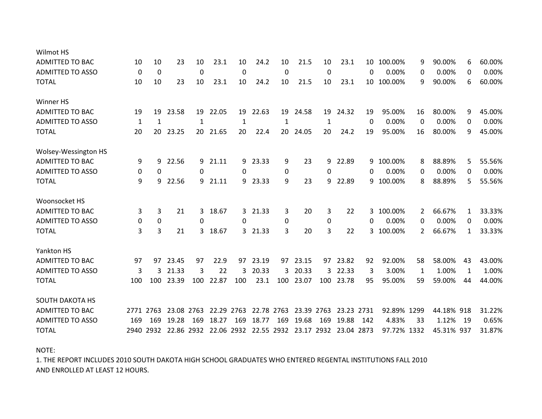| Wilmot HS               |             |             |            |             |                                 |          |       |                 |                       |             |            |     |             |    |            |              |        |
|-------------------------|-------------|-------------|------------|-------------|---------------------------------|----------|-------|-----------------|-----------------------|-------------|------------|-----|-------------|----|------------|--------------|--------|
| <b>ADMITTED TO BAC</b>  | 10          | 10          | 23         | 10          | 23.1                            | 10       | 24.2  | 10              | 21.5                  | 10          | 23.1       |     | 10 100.00%  | 9  | 90.00%     | 6            | 60.00% |
| <b>ADMITTED TO ASSO</b> | $\mathbf 0$ | $\mathbf 0$ |            | $\mathbf 0$ |                                 | 0        |       | 0               |                       | 0           |            | 0   | 0.00%       | 0  | 0.00%      | 0            | 0.00%  |
| <b>TOTAL</b>            | 10          | 10          | 23         | 10          | 23.1                            | 10       | 24.2  | 10              | 21.5                  | 10          | 23.1       | 10  | 100.00%     | 9  | 90.00%     | 6            | 60.00% |
| Winner HS               |             |             |            |             |                                 |          |       |                 |                       |             |            |     |             |    |            |              |        |
| <b>ADMITTED TO BAC</b>  | 19          | 19          | 23.58      |             | 19 22.05                        | 19       | 22.63 | 19              | 24.58                 | 19          | 24.32      | 19  | 95.00%      | 16 | 80.00%     | 9            | 45.00% |
| <b>ADMITTED TO ASSO</b> | 1           | 1           |            | 1           |                                 | 1        |       | 1               |                       | 1           |            | 0   | 0.00%       | 0  | 0.00%      | 0            | 0.00%  |
| <b>TOTAL</b>            | 20          | 20          | 23.25      |             | 20 21.65                        | 20       | 22.4  | 20 <sub>o</sub> | 24.05                 | 20          | 24.2       | 19  | 95.00%      | 16 | 80.00%     | 9            | 45.00% |
| Wolsey-Wessington HS    |             |             |            |             |                                 |          |       |                 |                       |             |            |     |             |    |            |              |        |
| <b>ADMITTED TO BAC</b>  | 9           | 9           | 22.56      | 9           | 21.11                           | 9        | 23.33 | 9               | 23                    | 9           | 22.89      | 9   | 100.00%     | 8  | 88.89%     | 5            | 55.56% |
| <b>ADMITTED TO ASSO</b> | 0           | 0           |            | 0           |                                 | 0        |       | 0               |                       | 0           |            | 0   | 0.00%       | 0  | 0.00%      | 0            | 0.00%  |
| <b>TOTAL</b>            | 9           | 9           | 22.56      |             | 9 21.11                         | 9        | 23.33 | 9               | 23                    | 9           | 22.89      | 9   | 100.00%     | 8  | 88.89%     | 5.           | 55.56% |
| Woonsocket HS           |             |             |            |             |                                 |          |       |                 |                       |             |            |     |             |    |            |              |        |
| <b>ADMITTED TO BAC</b>  | 3           | 3           | 21         | 3           | 18.67                           | 3        | 21.33 | 3               | 20                    | 3           | 22         | 3   | 100.00%     | 2  | 66.67%     | $\mathbf{1}$ | 33.33% |
| <b>ADMITTED TO ASSO</b> | 0           | 0           |            | $\Omega$    |                                 | $\Omega$ |       | 0               |                       | $\mathbf 0$ |            | 0   | 0.00%       | 0  | 0.00%      | 0            | 0.00%  |
| <b>TOTAL</b>            | 3           | 3           | 21         | 3.          | 18.67                           | 3        | 21.33 | 3               | 20                    | 3           | 22         | 3.  | 100.00%     | 2  | 66.67%     | 1            | 33.33% |
| Yankton HS              |             |             |            |             |                                 |          |       |                 |                       |             |            |     |             |    |            |              |        |
| <b>ADMITTED TO BAC</b>  | 97          | 97          | 23.45      | 97          | 22.9                            | 97       | 23.19 | 97              | 23.15                 | 97          | 23.82      | 92  | 92.00%      | 58 | 58.00%     | 43           | 43.00% |
| <b>ADMITTED TO ASSO</b> | 3           | 3           | 21.33      | 3           | 22                              | 3        | 20.33 | $\overline{3}$  | 20.33                 | 3           | 22.33      | 3   | 3.00%       | 1  | 1.00%      | $\mathbf{1}$ | 1.00%  |
| <b>TOTAL</b>            | 100         | 100         | 23.39      | 100         | 22.87                           | 100      | 23.1  | 100             | 23.07                 | 100         | 23.78      | 95  | 95.00%      | 59 | 59.00%     | 44           | 44.00% |
| <b>SOUTH DAKOTA HS</b>  |             |             |            |             |                                 |          |       |                 |                       |             |            |     |             |    |            |              |        |
| <b>ADMITTED TO BAC</b>  |             | 2771 2763   | 23.08 2763 |             | 22.29 2763                      |          |       | 22.78 2763      | 23.39 2763            |             | 23.23 2731 |     | 92.89% 1299 |    | 44.18% 918 |              | 31.22% |
| <b>ADMITTED TO ASSO</b> | 169         | 169         | 19.28      | 169         | 18.27                           | 169      | 18.77 | 169             | 19.68                 | 169         | 19.88      | 142 | 4.83%       | 33 | 1.12%      | 19           | 0.65%  |
| <b>TOTAL</b>            |             |             |            |             | 2940 2932 22.86 2932 22.06 2932 |          |       |                 | 22.55 2932 23.17 2932 |             | 23.04 2873 |     | 97.72% 1332 |    | 45.31% 937 |              | 31.87% |
|                         |             |             |            |             |                                 |          |       |                 |                       |             |            |     |             |    |            |              |        |

NOTE:

1. THE REPORT INCLUDES 2010 SOUTH DAKOTA HIGH SCHOOL GRADUATES WHO ENTERED REGENTAL INSTITUTIONS FALL 2010 AND ENROLLED AT LEAST 12 HOURS.